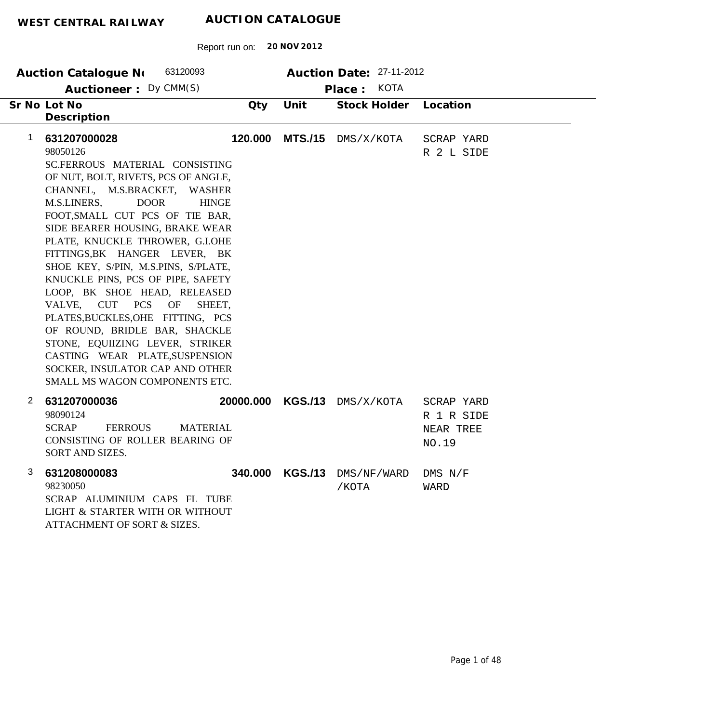|             | AUCTION CATALOGUE<br>WEST CENTRAL RAILWAY                                                                                                                                                                                                                                                                                                                                                                                                                                                                                                                                                                                                                                            |           |                 |                                                                   |                                                |  |  |  |
|-------------|--------------------------------------------------------------------------------------------------------------------------------------------------------------------------------------------------------------------------------------------------------------------------------------------------------------------------------------------------------------------------------------------------------------------------------------------------------------------------------------------------------------------------------------------------------------------------------------------------------------------------------------------------------------------------------------|-----------|-----------------|-------------------------------------------------------------------|------------------------------------------------|--|--|--|
|             | Report run on:                                                                                                                                                                                                                                                                                                                                                                                                                                                                                                                                                                                                                                                                       |           | 20 NOV 2012     |                                                                   |                                                |  |  |  |
|             | 63120093<br>Auction Catalogue No<br>Auctioneer: Dy CMM(S)<br>Sr No Lot No                                                                                                                                                                                                                                                                                                                                                                                                                                                                                                                                                                                                            | Qty       | Unit            | Auction Date: 27-11-2012<br><b>KOTA</b><br>Place:<br>Stock Holder | Location                                       |  |  |  |
|             | Description                                                                                                                                                                                                                                                                                                                                                                                                                                                                                                                                                                                                                                                                          |           |                 |                                                                   |                                                |  |  |  |
| $\mathbf 1$ | 631207000028<br>98050126<br>SC.FERROUS MATERIAL CONSISTING<br>OF NUT, BOLT, RIVETS, PCS OF ANGLE,<br>CHANNEL, M.S.BRACKET, WASHER<br>M.S.LINERS,<br><b>DOOR</b><br><b>HINGE</b><br>FOOT, SMALL CUT PCS OF TIE BAR,<br>SIDE BEARER HOUSING, BRAKE WEAR<br>PLATE, KNUCKLE THROWER, G.I.OHE<br>FITTINGS, BK HANGER LEVER, BK<br>SHOE KEY, S/PIN, M.S.PINS, S/PLATE,<br>KNUCKLE PINS, PCS OF PIPE, SAFETY<br>LOOP, BK SHOE HEAD, RELEASED<br>VALVE, CUT PCS OF<br>SHEET,<br>PLATES, BUCKLES, OHE FITTING, PCS<br>OF ROUND, BRIDLE BAR, SHACKLE<br>STONE, EQUIIZING LEVER, STRIKER<br>CASTING WEAR PLATE, SUSPENSION<br>SOCKER, INSULATOR CAP AND OTHER<br>SMALL MS WAGON COMPONENTS ETC. | 120.000   | <b>MTS./15</b>  | DMS/X/KOTA                                                        | SCRAP YARD<br>R 2 L SIDE                       |  |  |  |
| 2           | 631207000036<br>98090124<br><b>SCRAP</b><br><b>FERROUS</b><br><b>MATERIAL</b><br>CONSISTING OF ROLLER BEARING OF<br>SORT AND SIZES.                                                                                                                                                                                                                                                                                                                                                                                                                                                                                                                                                  | 20000.000 | <b>KGS./13</b>  | DMS/X/KOTA                                                        | SCRAP YARD<br>R 1 R SIDE<br>NEAR TREE<br>NO.19 |  |  |  |
| 3           | 631208000083<br>98230050<br>SCRAP ALUMINIUM CAPS FL TUBE<br>LIGHT & STARTER WITH OR WITHOUT<br>ATTACHMENT OF SORT & SIZES.                                                                                                                                                                                                                                                                                                                                                                                                                                                                                                                                                           |           | 340.000 KGS./13 | DMS/NF/WARD<br>/KOTA                                              | $DMS$ $N/F$<br>WARD                            |  |  |  |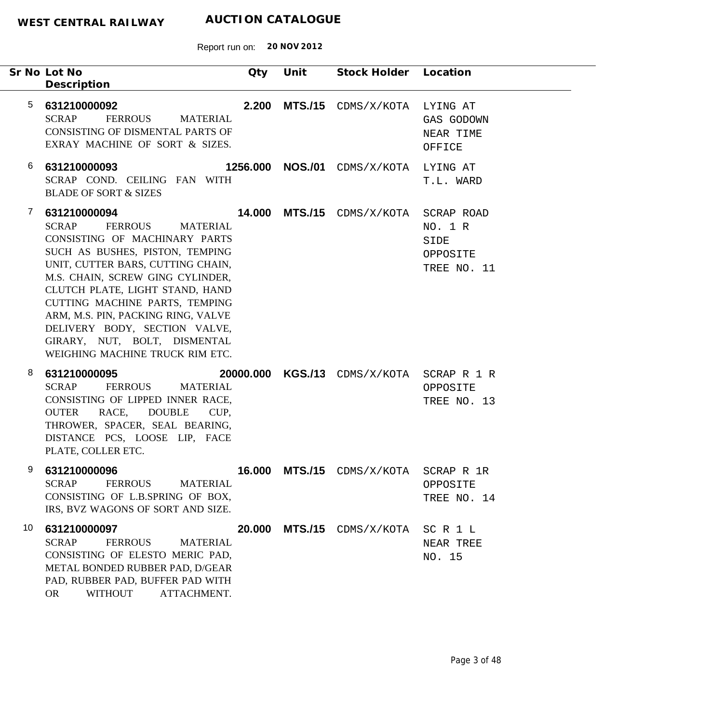|                 | Sr No Lot No<br>Description                                                                                                                                                                                                                                                                                                                                                                                                   | Qty    | Unit | Stock Holder                  | Location                                                 |
|-----------------|-------------------------------------------------------------------------------------------------------------------------------------------------------------------------------------------------------------------------------------------------------------------------------------------------------------------------------------------------------------------------------------------------------------------------------|--------|------|-------------------------------|----------------------------------------------------------|
| $5\phantom{.0}$ | 631210000092<br><b>SCRAP</b><br><b>FERROUS</b><br><b>MATERIAL</b><br>CONSISTING OF DISMENTAL PARTS OF<br>EXRAY MACHINE OF SORT & SIZES.                                                                                                                                                                                                                                                                                       |        |      | $2.200$ MTS./15 $CDMS/X/KOTA$ | LYING AT<br>GAS GODOWN<br>NEAR TIME<br>OFFICE            |
| 6               | 631210000093<br>SCRAP COND. CEILING FAN WITH<br><b>BLADE OF SORT &amp; SIZES</b>                                                                                                                                                                                                                                                                                                                                              |        |      | 1256.000 NOS./01 CDMS/X/KOTA  | LYING AT<br>T.L. WARD                                    |
| 7               | 631210000094<br><b>SCRAP</b><br><b>FERROUS</b><br><b>MATERIAL</b><br>CONSISTING OF MACHINARY PARTS<br>SUCH AS BUSHES, PISTON, TEMPING<br>UNIT, CUTTER BARS, CUTTING CHAIN,<br>M.S. CHAIN, SCREW GING CYLINDER,<br>CLUTCH PLATE, LIGHT STAND, HAND<br>CUTTING MACHINE PARTS, TEMPING<br>ARM, M.S. PIN, PACKING RING, VALVE<br>DELIVERY BODY, SECTION VALVE,<br>GIRARY, NUT, BOLT, DISMENTAL<br>WEIGHING MACHINE TRUCK RIM ETC. |        |      | 14.000 MTS./15 CDMS/X/KOTA    | SCRAP ROAD<br>NO. 1 R<br>SIDE<br>OPPOSITE<br>TREE NO. 11 |
| 8               | 631210000095<br><b>SCRAP</b><br><b>FERROUS</b><br><b>MATERIAL</b><br>CONSISTING OF LIPPED INNER RACE,<br>RACE, DOUBLE<br><b>OUTER</b><br>CUP,<br>THROWER, SPACER, SEAL BEARING,<br>DISTANCE PCS, LOOSE LIP, FACE<br>PLATE, COLLER ETC.                                                                                                                                                                                        |        |      | 20000.000 KGS./13 CDMS/X/KOTA | SCRAP R 1 R<br>OPPOSITE<br>TREE NO. 13                   |
| 9               | 631210000096<br><b>FERROUS</b><br><b>SCRAP</b><br><b>MATERIAL</b><br>CONSISTING OF L.B.SPRING OF BOX,<br>IRS, BVZ WAGONS OF SORT AND SIZE.                                                                                                                                                                                                                                                                                    | 16.000 |      | MTS./15 CDMS/X/KOTA           | SCRAP R 1R<br>OPPOSITE<br>TREE NO. 14                    |
| 10              | 631210000097<br><b>SCRAP</b><br><b>FERROUS</b><br><b>MATERIAL</b><br>CONSISTING OF ELESTO MERIC PAD,<br>METAL BONDED RUBBER PAD, D/GEAR<br>PAD, RUBBER PAD, BUFFER PAD WITH<br><b>WITHOUT</b><br>ATTACHMENT.<br><b>OR</b>                                                                                                                                                                                                     | 20.000 |      | MTS./15 CDMS/X/KOTA           | SCR1L<br>NEAR TREE<br>NO. 15                             |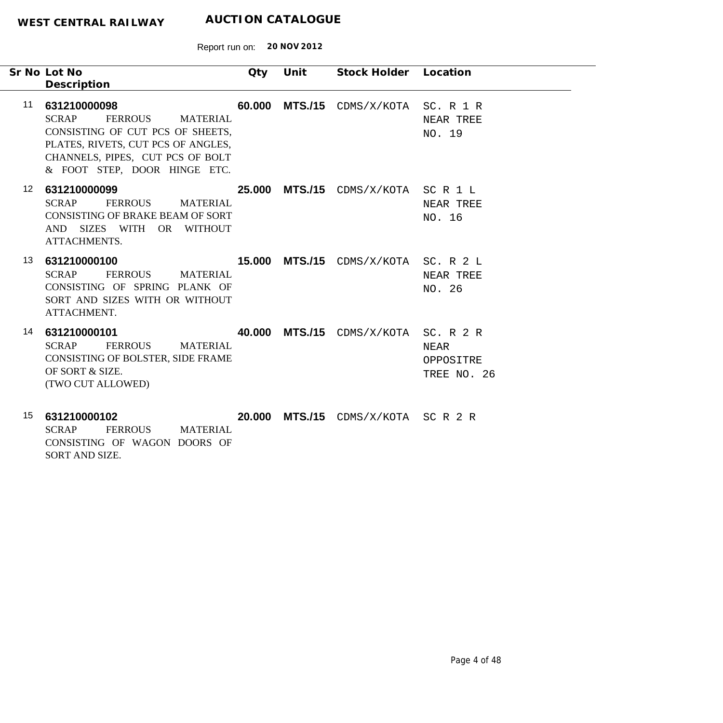-

Report run on: **20 NOV 2012**

|    | Sr No Lot No<br>Description                                                                                                                                                                                     | Qty | Unit | Stock Holder Location                       |                                               |
|----|-----------------------------------------------------------------------------------------------------------------------------------------------------------------------------------------------------------------|-----|------|---------------------------------------------|-----------------------------------------------|
| 11 | 631210000098<br><b>SCRAP</b><br><b>FERROUS</b><br><b>MATERIAL</b><br>CONSISTING OF CUT PCS OF SHEETS,<br>PLATES, RIVETS, CUT PCS OF ANGLES,<br>CHANNELS, PIPES, CUT PCS OF BOLT<br>& FOOT STEP, DOOR HINGE ETC. |     |      | 60.000 MTS./15 CDMS/X/KOTA                  | SC. R 1 R<br>NEAR TREE<br>NO. 19              |
| 12 | 631210000099<br><b>SCRAP</b><br><b>FERROUS</b><br><b>MATERIAL</b><br>CONSISTING OF BRAKE BEAM OF SORT<br>AND SIZES WITH OR WITHOUT<br>ATTACHMENTS.                                                              |     |      | 25.000 MTS./15 CDMS/X/KOTA SCR1L            | NEAR TREE<br>NO. 16                           |
| 13 | 631210000100<br><b>SCRAP</b><br><b>FERROUS</b><br>MATERIAL<br>CONSISTING OF SPRING PLANK OF<br>SORT AND SIZES WITH OR WITHOUT<br>ATTACHMENT.                                                                    |     |      | <b>15.000 MTS./15</b> CDMS/X/KOTA SC. R 2 L | NEAR TREE<br>NO. 26                           |
| 14 | 631210000101<br><b>SCRAP</b><br><b>FERROUS</b><br><b>MATERIAL</b><br>CONSISTING OF BOLSTER, SIDE FRAME<br>OF SORT & SIZE.<br>(TWO CUT ALLOWED)                                                                  |     |      | <b>40.000 MTS./15</b> CDMS/X/KOTA           | SC. R 2 R<br>NEAR<br>OPPOSITRE<br>TREE NO. 26 |

**631210000102** 15 SCRAP FERROUS MATERIAL CONSISTING OF WAGON DOORS OF SORT AND SIZE.  **20.000 MTS./15** CDMS/X/KOTA SC R 2 R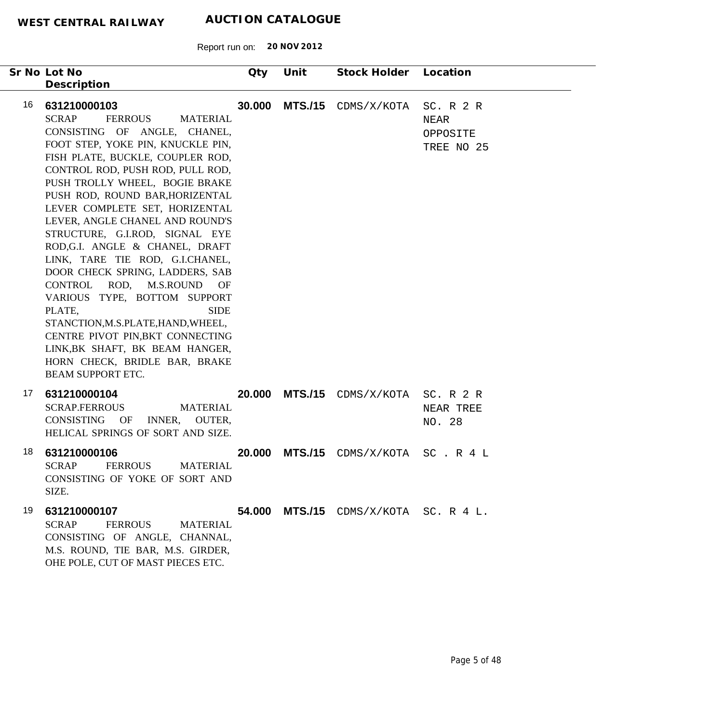Report run on: **20 NOV 2012**

| Sr No Lot No<br>Description                                                                                                                                                                                                                                                                                                                                                                                                                                                                                                                                                                                                                                                                                                                                               | Qty    | Unit           | Stock Holder Location                 |                                             |
|---------------------------------------------------------------------------------------------------------------------------------------------------------------------------------------------------------------------------------------------------------------------------------------------------------------------------------------------------------------------------------------------------------------------------------------------------------------------------------------------------------------------------------------------------------------------------------------------------------------------------------------------------------------------------------------------------------------------------------------------------------------------------|--------|----------------|---------------------------------------|---------------------------------------------|
| 16<br>631210000103<br><b>SCRAP</b><br><b>FERROUS</b><br><b>MATERIAL</b><br>CONSISTING OF ANGLE, CHANEL,<br>FOOT STEP, YOKE PIN, KNUCKLE PIN,<br>FISH PLATE, BUCKLE, COUPLER ROD,<br>CONTROL ROD, PUSH ROD, PULL ROD,<br>PUSH TROLLY WHEEL, BOGIE BRAKE<br>PUSH ROD, ROUND BAR, HORIZENTAL<br>LEVER COMPLETE SET, HORIZENTAL<br>LEVER, ANGLE CHANEL AND ROUND'S<br>STRUCTURE, G.I.ROD, SIGNAL EYE<br>ROD, G.I. ANGLE & CHANEL, DRAFT<br>LINK, TARE TIE ROD, G.I.CHANEL,<br>DOOR CHECK SPRING, LADDERS, SAB<br>CONTROL ROD, M.S.ROUND OF<br>VARIOUS TYPE, BOTTOM SUPPORT<br>PLATE,<br><b>SIDE</b><br>STANCTION, M.S.PLATE, HAND, WHEEL,<br>CENTRE PIVOT PIN, BKT CONNECTING<br>LINK, BK SHAFT, BK BEAM HANGER,<br>HORN CHECK, BRIDLE BAR, BRAKE<br><b>BEAM SUPPORT ETC.</b> | 30.000 | <b>MTS./15</b> | CDMS/X/KOTA                           | SC. R 2 R<br>NEAR<br>OPPOSITE<br>TREE NO 25 |
| 17<br>631210000104<br><b>SCRAP.FERROUS</b><br><b>MATERIAL</b><br>CONSISTING<br>OF<br>INNER,<br>OUTER,<br>HELICAL SPRINGS OF SORT AND SIZE.                                                                                                                                                                                                                                                                                                                                                                                                                                                                                                                                                                                                                                | 20.000 |                | MTS./15 CDMS/X/KOTA                   | SC. R 2 R<br>NEAR TREE<br>NO. 28            |
| 18<br>631210000106<br><b>SCRAP</b><br><b>FERROUS</b><br><b>MATERIAL</b><br>CONSISTING OF YOKE OF SORT AND<br>SIZE.                                                                                                                                                                                                                                                                                                                                                                                                                                                                                                                                                                                                                                                        | 20.000 | <b>MTS./15</b> | CDMS/X/KOTA                           | SC.R4L                                      |
| 19.<br>631210000107<br><b>SCRAP</b><br><b>FERROUS</b><br><b>MATERIAL</b><br>CONSISTING OF ANGLE, CHANNAL,<br>M.S. ROUND, TIE BAR, M.S. GIRDER,<br>OHE POLE, CUT OF MAST PIECES ETC.                                                                                                                                                                                                                                                                                                                                                                                                                                                                                                                                                                                       |        |                | 54.000 MTS./15 CDMS/X/KOTA SC. R 4 L. |                                             |

÷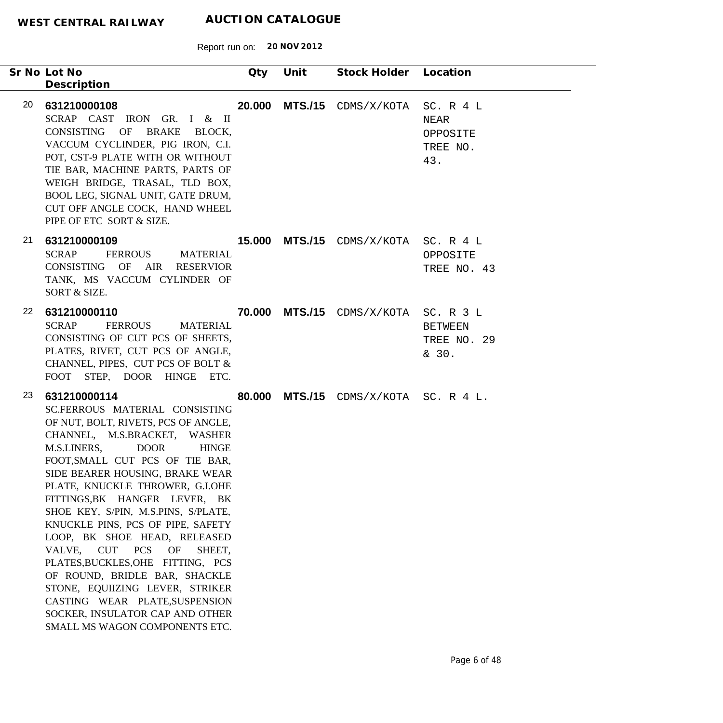|    | Sr No Lot No                                                                                                                                                                                                                                                                                                                                                                                                                                                                                                                                                                                                                                                                                    | Qty | Unit | Stock Holder Location                       |                                                  |
|----|-------------------------------------------------------------------------------------------------------------------------------------------------------------------------------------------------------------------------------------------------------------------------------------------------------------------------------------------------------------------------------------------------------------------------------------------------------------------------------------------------------------------------------------------------------------------------------------------------------------------------------------------------------------------------------------------------|-----|------|---------------------------------------------|--------------------------------------------------|
|    | Description                                                                                                                                                                                                                                                                                                                                                                                                                                                                                                                                                                                                                                                                                     |     |      |                                             |                                                  |
| 20 | 631210000108<br>SCRAP CAST IRON GR. I & II<br>CONSISTING OF BRAKE BLOCK,<br>VACCUM CYCLINDER, PIG IRON, C.I.<br>POT, CST-9 PLATE WITH OR WITHOUT<br>TIE BAR, MACHINE PARTS, PARTS OF<br>WEIGH BRIDGE, TRASAL, TLD BOX,<br>BOOL LEG, SIGNAL UNIT, GATE DRUM,<br>CUT OFF ANGLE COCK, HAND WHEEL<br>PIPE OF ETC SORT & SIZE.                                                                                                                                                                                                                                                                                                                                                                       |     |      | <b>20.000 MTS./15</b> CDMS/X/KOTA           | SC. R 4 L<br>NEAR<br>OPPOSITE<br>TREE NO.<br>43. |
| 21 | 631210000109<br><b>SCRAP</b><br><b>FERROUS</b><br><b>MATERIAL</b><br>CONSISTING OF AIR RESERVIOR<br>TANK, MS VACCUM CYLINDER OF<br>SORT & SIZE.                                                                                                                                                                                                                                                                                                                                                                                                                                                                                                                                                 |     |      | <b>15.000 MTS./15</b> CDMS/X/KOTA SC. R 4 L | OPPOSITE<br>TREE NO. 43                          |
| 22 | 631210000110<br><b>SCRAP</b><br><b>FERROUS</b><br><b>MATERIAL</b><br>CONSISTING OF CUT PCS OF SHEETS,<br>PLATES, RIVET, CUT PCS OF ANGLE,<br>CHANNEL, PIPES, CUT PCS OF BOLT &<br>FOOT STEP, DOOR HINGE ETC.                                                                                                                                                                                                                                                                                                                                                                                                                                                                                    |     |      | 70.000 MTS./15 CDMS/X/KOTA SC. R 3 L        | <b>BETWEEN</b><br>TREE NO. 29<br>& 30.           |
| 23 | 631210000114<br>SC.FERROUS MATERIAL CONSISTING<br>OF NUT, BOLT, RIVETS, PCS OF ANGLE,<br>CHANNEL, M.S.BRACKET, WASHER<br>M.S.LINERS,<br><b>DOOR</b><br><b>HINGE</b><br>FOOT, SMALL CUT PCS OF TIE BAR,<br>SIDE BEARER HOUSING, BRAKE WEAR<br>PLATE, KNUCKLE THROWER, G.I.OHE<br>FITTINGS, BK HANGER LEVER, BK<br>SHOE KEY, S/PIN, M.S.PINS, S/PLATE,<br>KNUCKLE PINS, PCS OF PIPE, SAFETY<br>LOOP, BK SHOE HEAD, RELEASED<br>VALVE,<br><b>CUT</b><br><b>PCS</b><br>OF<br>SHEET.<br>PLATES, BUCKLES, OHE FITTING, PCS<br>OF ROUND, BRIDLE BAR, SHACKLE<br>STONE, EQUIIZING LEVER, STRIKER<br>CASTING WEAR PLATE, SUSPENSION<br>SOCKER, INSULATOR CAP AND OTHER<br>SMALL MS WAGON COMPONENTS ETC. |     |      | 80.000 MTS./15 CDMS/X/KOTA SC. R 4 L.       |                                                  |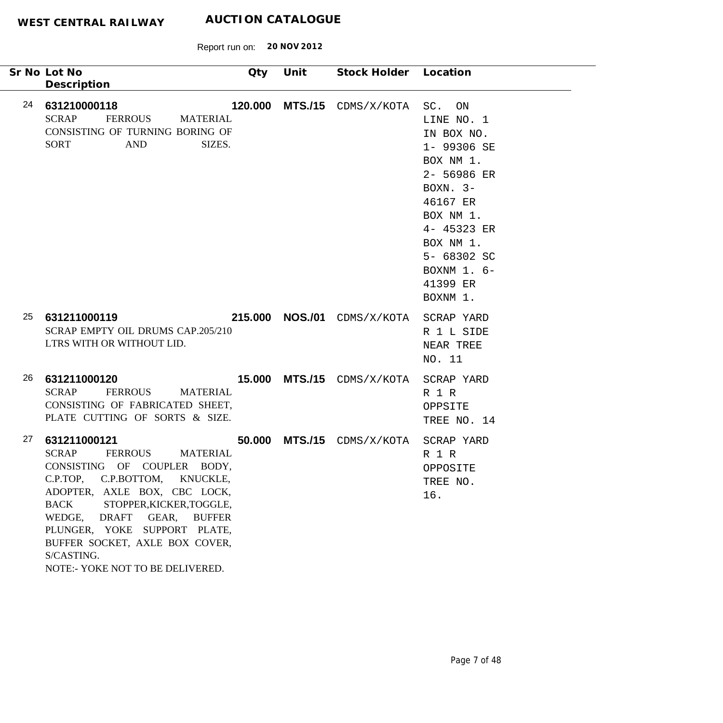| Sr No Lot No<br>Description                                                                                                                                                                                                                                                                                                                                                                      | Qty | Unit | Stock Holder Location                  |                                                                                                                                                                                                            |
|--------------------------------------------------------------------------------------------------------------------------------------------------------------------------------------------------------------------------------------------------------------------------------------------------------------------------------------------------------------------------------------------------|-----|------|----------------------------------------|------------------------------------------------------------------------------------------------------------------------------------------------------------------------------------------------------------|
| 24<br>631210000118<br><b>SCRAP</b><br><b>FERROUS</b><br><b>MATERIAL</b><br>CONSISTING OF TURNING BORING OF<br><b>AND</b><br><b>SORT</b><br>SIZES.                                                                                                                                                                                                                                                |     |      | 120.000 MTS./15 CDMS/X/KOTA            | SC.<br>ON<br>LINE NO. 1<br>IN BOX NO.<br>1- 99306 SE<br>BOX NM 1.<br>2- 56986 ER<br>BOXN. $3-$<br>46167 ER<br>BOX NM 1.<br>4- 45323 ER<br>BOX NM 1.<br>5- 68302 SC<br>BOXNM $1.6-$<br>41399 ER<br>BOXNM 1. |
| 25<br>631211000119<br>SCRAP EMPTY OIL DRUMS CAP.205/210<br>LTRS WITH OR WITHOUT LID.                                                                                                                                                                                                                                                                                                             |     |      | 215.000 NOS./01 CDMS/X/KOTA SCRAP YARD | R 1 L SIDE<br>NEAR TREE<br>NO. 11                                                                                                                                                                          |
| 26<br>631211000120<br><b>SCRAP</b><br><b>FERROUS</b><br><b>MATERIAL</b><br>CONSISTING OF FABRICATED SHEET,<br>PLATE CUTTING OF SORTS & SIZE.                                                                                                                                                                                                                                                     |     |      | 15.000 MTS./15 CDMS/X/KOTA SCRAP YARD  | R 1 R<br>OPPSITE<br>TREE NO. 14                                                                                                                                                                            |
| 27<br>631211000121<br><b>SCRAP</b><br><b>FERROUS</b><br><b>MATERIAL</b><br>CONSISTING OF COUPLER BODY,<br>C.P.TOP.<br>C.P.BOTTOM,<br>KNUCKLE,<br>ADOPTER, AXLE BOX, CBC LOCK,<br>STOPPER, KICKER, TOGGLE,<br><b>BACK</b><br>WEDGE,<br><b>DRAFT</b><br>GEAR,<br><b>BUFFER</b><br>PLUNGER, YOKE SUPPORT PLATE,<br>BUFFER SOCKET, AXLE BOX COVER,<br>S/CASTING.<br>NOTE:- YOKE NOT TO BE DELIVERED. |     |      | <b>50.000 MTS./15</b> CDMS/X/KOTA      | SCRAP YARD<br>R 1 R<br>OPPOSITE<br>TREE NO.<br>16.                                                                                                                                                         |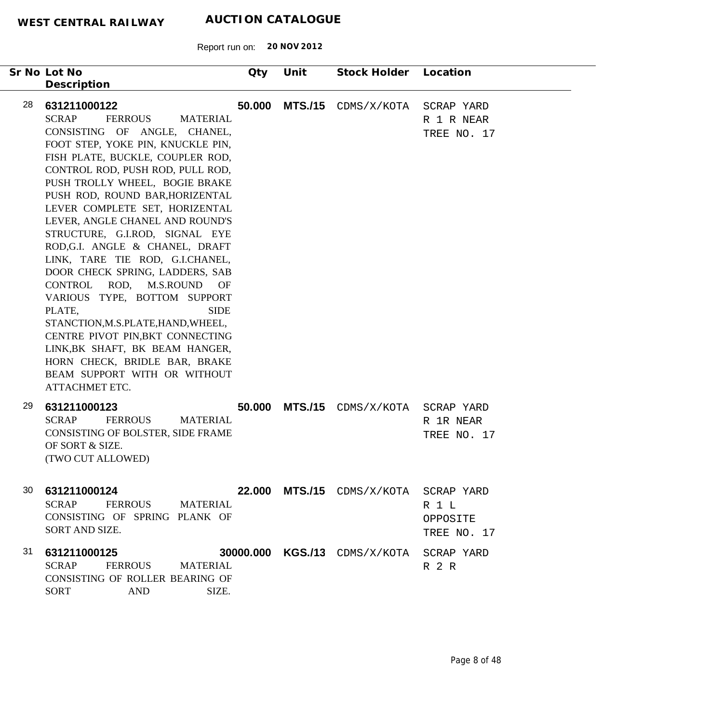| Sr No Lot No<br>Description                                                                                                                                                                                                                                                                                                                                                                                                                                                                                                                                                                                                                                                                                                                                                                     | Qty    | Unit           | Stock Holder Location                    |                                         |
|-------------------------------------------------------------------------------------------------------------------------------------------------------------------------------------------------------------------------------------------------------------------------------------------------------------------------------------------------------------------------------------------------------------------------------------------------------------------------------------------------------------------------------------------------------------------------------------------------------------------------------------------------------------------------------------------------------------------------------------------------------------------------------------------------|--------|----------------|------------------------------------------|-----------------------------------------|
| 28<br>631211000122<br><b>FERROUS</b><br><b>SCRAP</b><br><b>MATERIAL</b><br>CONSISTING OF ANGLE, CHANEL,<br>FOOT STEP, YOKE PIN, KNUCKLE PIN,<br>FISH PLATE, BUCKLE, COUPLER ROD,<br>CONTROL ROD, PUSH ROD, PULL ROD,<br>PUSH TROLLY WHEEL, BOGIE BRAKE<br>PUSH ROD, ROUND BAR, HORIZENTAL<br>LEVER COMPLETE SET, HORIZENTAL<br>LEVER, ANGLE CHANEL AND ROUND'S<br>STRUCTURE, G.I.ROD, SIGNAL EYE<br>ROD, G.I. ANGLE & CHANEL, DRAFT<br>LINK, TARE TIE ROD, G.I.CHANEL,<br>DOOR CHECK SPRING, LADDERS, SAB<br>CONTROL ROD, M.S.ROUND OF<br>VARIOUS TYPE, BOTTOM SUPPORT<br><b>SIDE</b><br>PLATE,<br>STANCTION, M.S.PLATE, HAND, WHEEL,<br>CENTRE PIVOT PIN, BKT CONNECTING<br>LINK, BK SHAFT, BK BEAM HANGER,<br>HORN CHECK, BRIDLE BAR, BRAKE<br>BEAM SUPPORT WITH OR WITHOUT<br>ATTACHMET ETC. | 50.000 | <b>MTS./15</b> | CDMS/X/KOTA                              | SCRAP YARD<br>R 1 R NEAR<br>TREE NO. 17 |
| 29<br>631211000123<br><b>SCRAP</b><br><b>FERROUS</b><br><b>MATERIAL</b><br>CONSISTING OF BOLSTER, SIDE FRAME<br>OF SORT & SIZE.<br>(TWO CUT ALLOWED)                                                                                                                                                                                                                                                                                                                                                                                                                                                                                                                                                                                                                                            | 50.000 | <b>MTS./15</b> | CDMS/X/KOTA                              | SCRAP YARD<br>R 1R NEAR<br>TREE NO. 17  |
| 30 631211000124<br>SCRAP FERROUS MATERIAL<br>CONSISTING OF SPRING PLANK OF<br>SORT AND SIZE.                                                                                                                                                                                                                                                                                                                                                                                                                                                                                                                                                                                                                                                                                                    |        |                | 22.000 MTS./15 CDMS/X/KOTA SCRAP YARD    | R 1 L<br>OPPOSITE<br>TREE NO. 17        |
| 31<br>631211000125<br>SCRAP FERROUS MATERIAL<br>CONSISTING OF ROLLER BEARING OF<br>AND<br>SIZE.<br><b>SORT</b>                                                                                                                                                                                                                                                                                                                                                                                                                                                                                                                                                                                                                                                                                  |        |                | 30000.000 KGS./13 CDMS/X/KOTA SCRAP YARD | R 2 R                                   |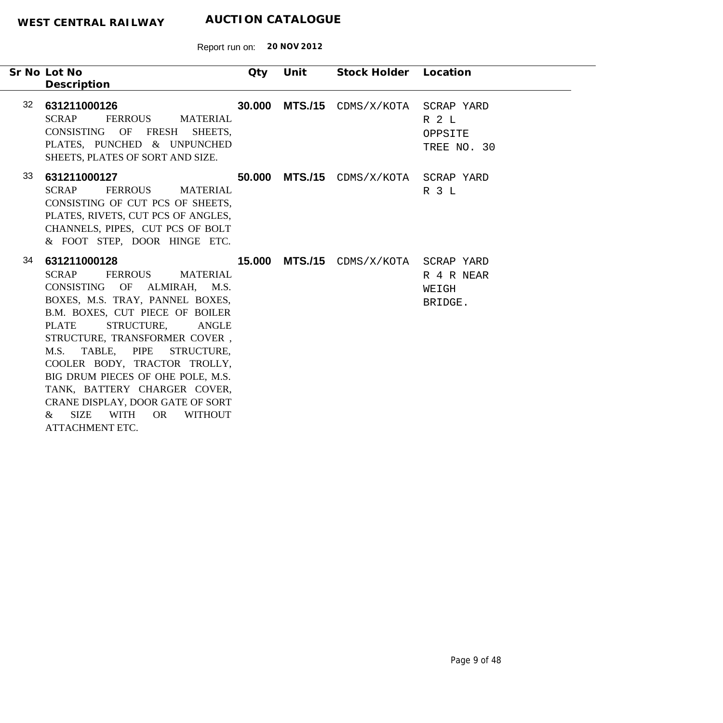|    | Sr No Lot No<br>Description                                                                                                                                                                                                                                                                                                                                                                                                                                                                                                     | Qty | Unit | Stock Holder Location                 |                                 |
|----|---------------------------------------------------------------------------------------------------------------------------------------------------------------------------------------------------------------------------------------------------------------------------------------------------------------------------------------------------------------------------------------------------------------------------------------------------------------------------------------------------------------------------------|-----|------|---------------------------------------|---------------------------------|
|    | 32 631211000126<br>SCRAP<br>FERROUS MATERIAL<br>CONSISTING OF<br><b>FRESH</b><br>SHEETS.<br>PLATES, PUNCHED & UNPUNCHED<br>SHEETS, PLATES OF SORT AND SIZE.                                                                                                                                                                                                                                                                                                                                                                     |     |      | 30.000 MTS./15 CDMS/X/KOTA SCRAP YARD | R 2 L<br>OPPSITE<br>TREE NO. 30 |
| 33 | 631211000127<br><b>SCRAP</b><br>FERROUS MATERIAL<br>CONSISTING OF CUT PCS OF SHEETS,<br>PLATES, RIVETS, CUT PCS OF ANGLES,<br>CHANNELS, PIPES, CUT PCS OF BOLT<br>& FOOT STEP, DOOR HINGE ETC.                                                                                                                                                                                                                                                                                                                                  |     |      | 50.000 MTS./15 CDMS/X/KOTA SCRAP YARD | R 3 L                           |
| 34 | 631211000128<br><b>SCRAP</b><br><b>FERROUS</b><br><b>MATERIAL</b><br>CONSISTING OF ALMIRAH, M.S.<br>BOXES, M.S. TRAY, PANNEL BOXES,<br>B.M. BOXES, CUT PIECE OF BOILER<br><b>PLATE</b><br>STRUCTURE,<br><b>ANGLE</b><br>STRUCTURE, TRANSFORMER COVER,<br>M.S. TABLE, PIPE<br>STRUCTURE,<br>COOLER BODY, TRACTOR TROLLY,<br>BIG DRUM PIECES OF OHE POLE, M.S.<br>TANK, BATTERY CHARGER COVER,<br>CRANE DISPLAY, DOOR GATE OF SORT<br><b>SIZE</b><br><b>WITH</b><br><b>OR</b><br><b>WITHOUT</b><br>$\&$<br><b>ATTACHMENT ETC.</b> |     |      | 15.000 MTS./15 CDMS/X/KOTA SCRAP YARD | R 4 R NEAR<br>WEIGH<br>BRIDGE.  |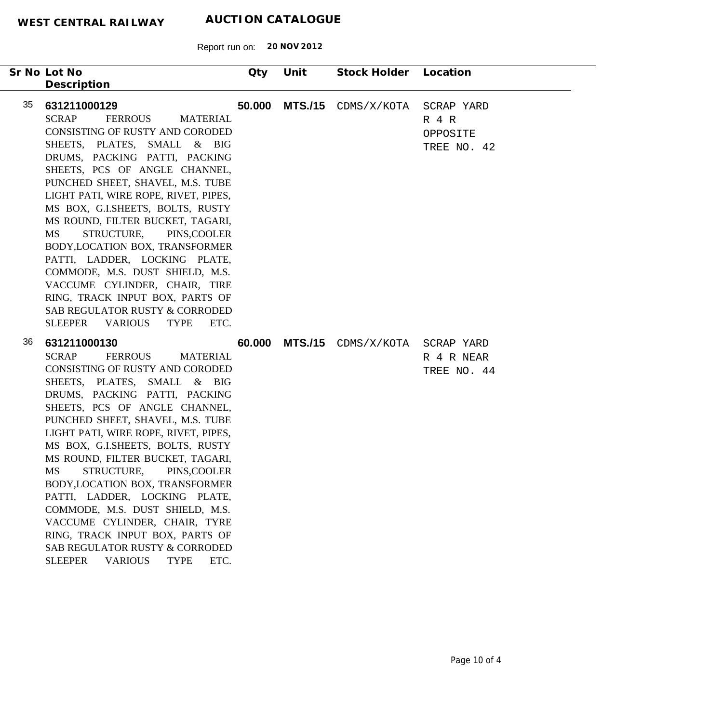Report run on: **20 NOV 2012**

|    | Sr No Lot No<br>Description                                                                                                                                                                                                                                                                                                                                                                                                                                                                                                                                                                                                                                     | Qty    | Unit           | Stock Holder Location |                                                    |
|----|-----------------------------------------------------------------------------------------------------------------------------------------------------------------------------------------------------------------------------------------------------------------------------------------------------------------------------------------------------------------------------------------------------------------------------------------------------------------------------------------------------------------------------------------------------------------------------------------------------------------------------------------------------------------|--------|----------------|-----------------------|----------------------------------------------------|
| 35 | 631211000129<br><b>SCRAP</b><br><b>FERROUS</b><br><b>MATERIAL</b><br><b>CONSISTING OF RUSTY AND CORODED</b><br>SHEETS, PLATES, SMALL & BIG<br>DRUMS, PACKING PATTI, PACKING<br>SHEETS, PCS OF ANGLE CHANNEL,<br>PUNCHED SHEET, SHAVEL, M.S. TUBE<br>LIGHT PATI, WIRE ROPE, RIVET, PIPES,<br>MS BOX, G.I.SHEETS, BOLTS, RUSTY<br>MS ROUND, FILTER BUCKET, TAGARI,<br>STRUCTURE,<br>MS<br>PINS, COOLER<br>BODY, LOCATION BOX, TRANSFORMER<br>PATTI, LADDER, LOCKING PLATE,<br>COMMODE, M.S. DUST SHIELD, M.S.<br>VACCUME CYLINDER, CHAIR, TIRE<br>RING, TRACK INPUT BOX, PARTS OF<br>SAB REGULATOR RUSTY & CORRODED<br>SLEEPER VARIOUS<br><b>TYPE</b><br>ETC.     | 50.000 | <b>MTS./15</b> | CDMS/X/KOTA           | SCRAP YARD<br>$R$ 4 $R$<br>OPPOSITE<br>TREE NO. 42 |
| 36 | 631211000130<br><b>SCRAP</b><br><b>FERROUS</b><br><b>MATERIAL</b><br>CONSISTING OF RUSTY AND CORODED<br>SHEETS, PLATES, SMALL & BIG<br>DRUMS, PACKING PATTI, PACKING<br>SHEETS, PCS OF ANGLE CHANNEL,<br>PUNCHED SHEET, SHAVEL, M.S. TUBE<br>LIGHT PATI, WIRE ROPE, RIVET, PIPES,<br>MS BOX, G.I.SHEETS, BOLTS, RUSTY<br>MS ROUND, FILTER BUCKET, TAGARI,<br>MS STRUCTURE, PINS, COOLER<br>BODY, LOCATION BOX, TRANSFORMER<br>PATTI, LADDER, LOCKING PLATE,<br>COMMODE, M.S. DUST SHIELD, M.S.<br>VACCUME CYLINDER, CHAIR, TYRE<br>RING, TRACK INPUT BOX, PARTS OF<br>SAB REGULATOR RUSTY & CORRODED<br><b>VARIOUS</b><br><b>TYPE</b><br>ETC.<br><b>SLEEPER</b> | 60.000 | <b>MTS./15</b> | CDMS/X/KOTA           | SCRAP YARD<br>R 4 R NEAR<br>TREE NO. 44            |

÷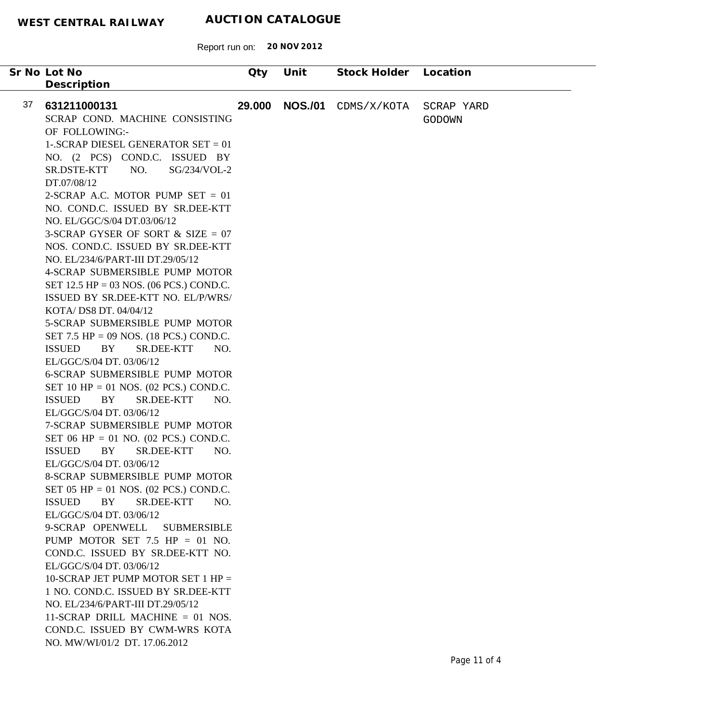| Sr No Lot No                                    | Qty    | Unit           | Stock Holder | Location      |
|-------------------------------------------------|--------|----------------|--------------|---------------|
| Description                                     |        |                |              |               |
|                                                 |        |                |              |               |
| 37<br>631211000131                              | 29.000 | <b>NOS./01</b> | CDMS/X/KOTA  | SCRAP YARD    |
| SCRAP COND. MACHINE CONSISTING                  |        |                |              | <b>GODOWN</b> |
| OF FOLLOWING:-                                  |        |                |              |               |
| 1-.SCRAP DIESEL GENERATOR SET = $01$            |        |                |              |               |
| NO. (2 PCS) COND.C. ISSUED BY                   |        |                |              |               |
| SG/234/VOL-2<br>SR.DSTE-KTT<br>NO.              |        |                |              |               |
| DT.07/08/12                                     |        |                |              |               |
| 2-SCRAP A.C. MOTOR PUMP SET $= 01$              |        |                |              |               |
| NO. COND.C. ISSUED BY SR.DEE-KTT                |        |                |              |               |
| NO. EL/GGC/S/04 DT.03/06/12                     |        |                |              |               |
| 3-SCRAP GYSER OF SORT $&$ SIZE = 07             |        |                |              |               |
| NOS. COND.C. ISSUED BY SR.DEE-KTT               |        |                |              |               |
| NO. EL/234/6/PART-III DT.29/05/12               |        |                |              |               |
| 4-SCRAP SUBMERSIBLE PUMP MOTOR                  |        |                |              |               |
| SET 12.5 HP = 03 NOS. (06 PCS.) COND.C.         |        |                |              |               |
| ISSUED BY SR.DEE-KTT NO. EL/P/WRS/              |        |                |              |               |
| KOTA/ DS8 DT. 04/04/12                          |        |                |              |               |
| 5-SCRAP SUBMERSIBLE PUMP MOTOR                  |        |                |              |               |
| SET 7.5 HP = 09 NOS. $(18$ PCS.) COND.C.        |        |                |              |               |
| <b>ISSUED</b><br>BY<br>SR.DEE-KTT<br>NO.        |        |                |              |               |
| EL/GGC/S/04 DT. 03/06/12                        |        |                |              |               |
| <b>6-SCRAP SUBMERSIBLE PUMP MOTOR</b>           |        |                |              |               |
| SET 10 HP = 01 NOS. $(02 \text{ PCs.})$ COND.C. |        |                |              |               |
| <b>ISSUED</b><br>BY<br>SR.DEE-KTT<br>NO.        |        |                |              |               |
| EL/GGC/S/04 DT. 03/06/12                        |        |                |              |               |
| 7-SCRAP SUBMERSIBLE PUMP MOTOR                  |        |                |              |               |
| SET 06 HP = 01 NO. $(02 \text{ PCs.})$ COND.C.  |        |                |              |               |
| <b>ISSUED</b><br>BY<br><b>SR.DEE-KTT</b><br>NO. |        |                |              |               |
| EL/GGC/S/04 DT. 03/06/12                        |        |                |              |               |
| <b>8-SCRAP SUBMERSIBLE PUMP MOTOR</b>           |        |                |              |               |
| SET 05 HP = 01 NOS. $(02 \text{ PCs.})$ COND.C. |        |                |              |               |
| BY<br><b>ISSUED</b><br>SR.DEE-KTT<br>NO.        |        |                |              |               |
| EL/GGC/S/04 DT. 03/06/12                        |        |                |              |               |
| 9-SCRAP OPENWELL<br><b>SUBMERSIBLE</b>          |        |                |              |               |
| PUMP MOTOR SET 7.5 HP = 01 NO.                  |        |                |              |               |
| COND.C. ISSUED BY SR.DEE-KTT NO.                |        |                |              |               |
| EL/GGC/S/04 DT. 03/06/12                        |        |                |              |               |
| 10-SCRAP JET PUMP MOTOR SET 1 HP $=$            |        |                |              |               |
| 1 NO. COND.C. ISSUED BY SR.DEE-KTT              |        |                |              |               |
| NO. EL/234/6/PART-III DT.29/05/12               |        |                |              |               |
| 11-SCRAP DRILL MACHINE $= 01$ NOS.              |        |                |              |               |
| COND.C. ISSUED BY CWM-WRS KOTA                  |        |                |              |               |
| NO. MW/WI/01/2 DT. 17.06.2012                   |        |                |              |               |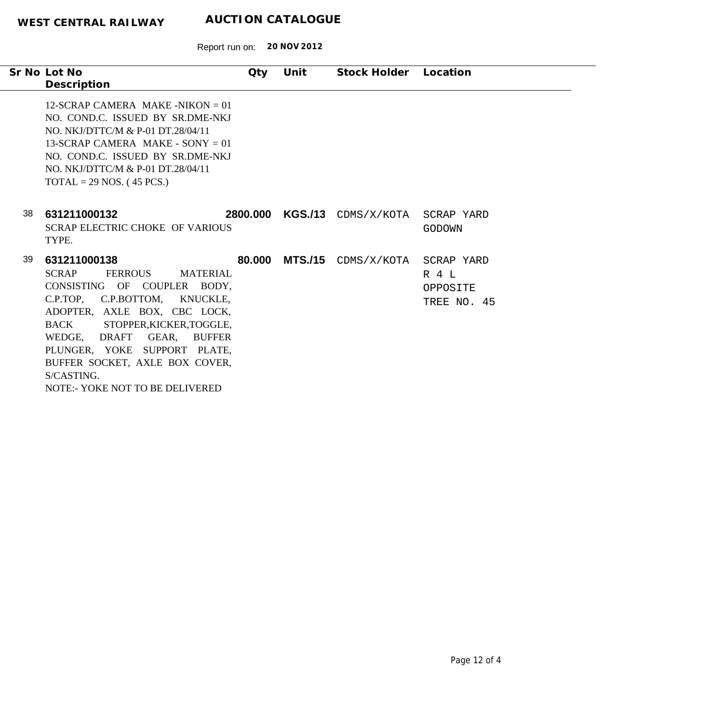Report run on: **20 NOV 2012**

|    | Sr No Lot No<br>Description                                                                                                                                                                                                                                                                                                                                            | $Q$ ty   | Unit | Stock Holder Location          |                                  |
|----|------------------------------------------------------------------------------------------------------------------------------------------------------------------------------------------------------------------------------------------------------------------------------------------------------------------------------------------------------------------------|----------|------|--------------------------------|----------------------------------|
|    | 12-SCRAP CAMERA MAKE -NIKON $= 01$<br>NO. COND.C. ISSUED BY SR.DME-NKJ<br>NO. NKJ/DTTC/M & P-01 DT.28/04/11<br>13-SCRAP CAMERA MAKE - SONY $= 01$<br>NO. COND.C. ISSUED BY SR.DME-NKJ<br>NO. NKJ/DTTC/M & P-01 DT.28/04/11<br>$TOTAL = 29 NOS.$ (45 PCS.)                                                                                                              |          |      |                                |                                  |
| 38 | 631211000132<br>SCRAP ELECTRIC CHOKE OF VARIOUS<br>TYPE.                                                                                                                                                                                                                                                                                                               | 2800.000 |      | KGS./13 CDMS/X/KOTA SCRAP YARD | GODOWN                           |
| 39 | 631211000138<br><b>SCRAP</b><br>FERROUS<br><b>MATERIAL</b><br>CONSISTING OF COUPLER BODY,<br>C.P.TOP, C.P.BOTTOM, KNUCKLE,<br>ADOPTER, AXLE BOX, CBC LOCK,<br><b>BACK</b><br>STOPPER, KICKER, TOGGLE,<br>WEDGE, DRAFT GEAR,<br><b>BUFFER</b><br>PLUNGER, YOKE SUPPORT PLATE,<br>BUFFER SOCKET, AXLE BOX COVER,<br>S/CASTING.<br><b>NOTE:- YOKE NOT TO BE DELIVERED</b> | 80.000   |      | MTS./15 CDMS/X/KOTA SCRAP YARD | R 4 T<br>OPPOSITE<br>TREE NO. 45 |

 $\overline{\phantom{a}}$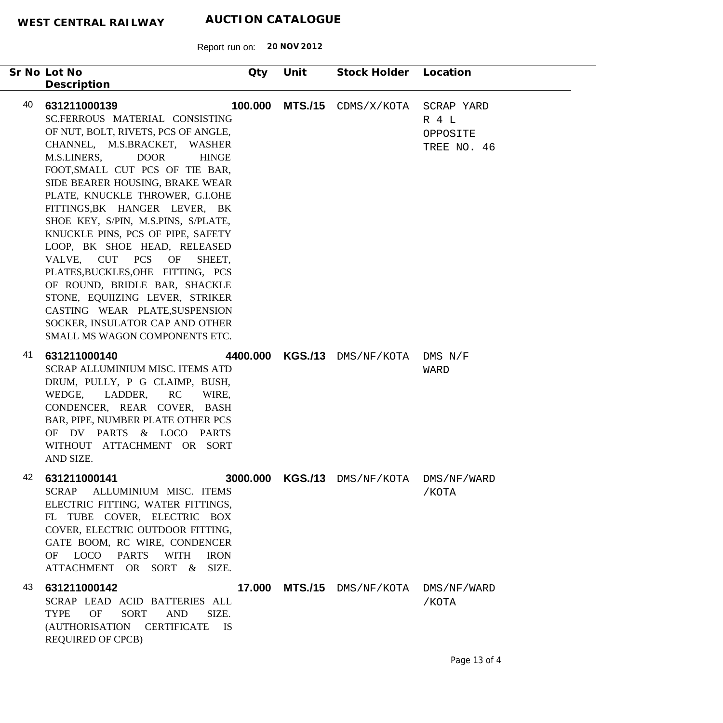Report run on: **20 NOV 2012**

| Sr No Lot No<br>Description                                                                                                                                                                                                                                                                                                                                                                                                                                                                                                                                                                                                                                                       | Qty     | Unit | Stock Holder Location                  |                                  |
|-----------------------------------------------------------------------------------------------------------------------------------------------------------------------------------------------------------------------------------------------------------------------------------------------------------------------------------------------------------------------------------------------------------------------------------------------------------------------------------------------------------------------------------------------------------------------------------------------------------------------------------------------------------------------------------|---------|------|----------------------------------------|----------------------------------|
| 40<br>631211000139<br>SC.FERROUS MATERIAL CONSISTING<br>OF NUT, BOLT, RIVETS, PCS OF ANGLE,<br>CHANNEL, M.S.BRACKET, WASHER<br>M.S.LINERS,<br><b>DOOR</b><br><b>HINGE</b><br>FOOT, SMALL CUT PCS OF TIE BAR,<br>SIDE BEARER HOUSING, BRAKE WEAR<br>PLATE, KNUCKLE THROWER, G.I.OHE<br>FITTINGS, BK HANGER LEVER, BK<br>SHOE KEY, S/PIN, M.S.PINS, S/PLATE,<br>KNUCKLE PINS, PCS OF PIPE, SAFETY<br>LOOP, BK SHOE HEAD, RELEASED<br>VALVE, CUT PCS<br>OF<br>SHEET,<br>PLATES, BUCKLES, OHE FITTING, PCS<br>OF ROUND, BRIDLE BAR, SHACKLE<br>STONE, EQUIIZING LEVER, STRIKER<br>CASTING WEAR PLATE, SUSPENSION<br>SOCKER, INSULATOR CAP AND OTHER<br>SMALL MS WAGON COMPONENTS ETC. | 100.000 |      | MTS./15 CDMS/X/KOTA SCRAP YARD         | R 4 L<br>OPPOSITE<br>TREE NO. 46 |
| 41<br>631211000140<br><b>SCRAP ALLUMINIUM MISC. ITEMS ATD</b><br>DRUM, PULLY, P G CLAIMP, BUSH,<br>WEDGE, LADDER, RC<br>WIRE,<br>CONDENCER, REAR COVER, BASH<br>BAR, PIPE, NUMBER PLATE OTHER PCS<br>OF DV PARTS & LOCO PARTS<br>WITHOUT ATTACHMENT OR SORT<br>AND SIZE.                                                                                                                                                                                                                                                                                                                                                                                                          |         |      | 4400.000 KGS./13 DMS/NF/KOTA DMS N/F   | WARD                             |
| 42<br>631211000141<br>SCRAP ALLUMINIUM MISC. ITEMS<br>ELECTRIC FITTING, WATER FITTINGS,<br>FL TUBE COVER, ELECTRIC BOX<br>COVER, ELECTRIC OUTDOOR FITTING,<br>GATE BOOM, RC WIRE, CONDENCER<br>OF LOCO<br><b>PARTS</b><br>WITH<br><b>IRON</b><br>ATTACHMENT OR SORT & SIZE.                                                                                                                                                                                                                                                                                                                                                                                                       |         |      | 3000.000 KGS./13 DMS/NF/KOTA           | DMS/NF/WARD<br>/KOTA             |
| 43<br>631211000142<br>SCRAP LEAD ACID BATTERIES ALL<br>OF<br><b>SORT</b><br><b>AND</b><br>SIZE.<br><b>TYPE</b><br>(AUTHORISATION CERTIFICATE<br>IS<br><b>REQUIRED OF CPCB)</b>                                                                                                                                                                                                                                                                                                                                                                                                                                                                                                    |         |      | 17.000 MTS./15 DMS/NF/KOTA DMS/NF/WARD | /KOTA                            |

-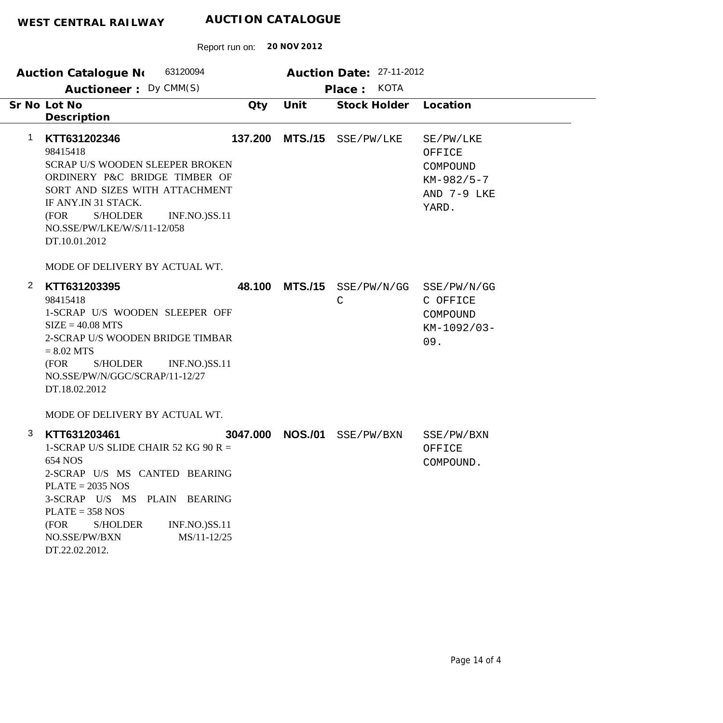|              | 63120094<br><b>Auction Catalogue No</b>                                                                                                                                                                                                                                                                     |          |                | Auction Date: 27-11-2012    |                                                                         |
|--------------|-------------------------------------------------------------------------------------------------------------------------------------------------------------------------------------------------------------------------------------------------------------------------------------------------------------|----------|----------------|-----------------------------|-------------------------------------------------------------------------|
|              | Auctioneer: Dy CMM(S)                                                                                                                                                                                                                                                                                       |          |                | <b>KOTA</b><br>Place:       |                                                                         |
|              | Sr No Lot No<br>Description                                                                                                                                                                                                                                                                                 | Qty      | Unit           | Stock Holder                | Location                                                                |
| 1            | KTT631202346<br>98415418<br><b>SCRAP U/S WOODEN SLEEPER BROKEN</b><br>ORDINERY P&C BRIDGE TIMBER OF<br>SORT AND SIZES WITH ATTACHMENT<br>IF ANY.IN 31 STACK.<br>S/HOLDER<br><b>INF.NO.)SS.11</b><br>(FOR<br>NO.SSE/PW/LKE/W/S/11-12/058<br>DT.10.01.2012                                                    | 137.200  | <b>MTS./15</b> | SSE/PW/LKE                  | SE/PW/LKE<br>OFFICE<br>COMPOUND<br>$KM-982/5-7$<br>AND 7-9 LKE<br>YARD. |
|              | MODE OF DELIVERY BY ACTUAL WT.                                                                                                                                                                                                                                                                              |          |                |                             |                                                                         |
| $\mathbf{2}$ | KTT631203395<br>98415418<br>1-SCRAP U/S WOODEN SLEEPER OFF<br>$SIZE = 40.08 MTS$<br>2-SCRAP U/S WOODEN BRIDGE TIMBAR<br>$= 8.02$ MTS<br>(FOR<br>S/HOLDER<br><b>INF.NO.)SS.11</b><br>NO.SSE/PW/N/GGC/SCRAP/11-12/27<br>DT.18.02.2012                                                                         |          | 48.100 MTS./15 | SSE/PW/N/GG<br>$\mathsf{C}$ | SSE/PW/N/GG<br>C OFFICE<br>COMPOUND<br>KM-1092/03-<br>09.               |
| 3            | MODE OF DELIVERY BY ACTUAL WT.<br>KTT631203461<br>1-SCRAP U/S SLIDE CHAIR 52 KG 90 R =<br>654 NOS<br>2-SCRAP U/S MS CANTED BEARING<br>$PLATE = 2035 NOS$<br>3-SCRAP U/S MS PLAIN BEARING<br>$PLATE = 358 NOS$<br>(FOR<br><b>S/HOLDER</b><br>INF.NO.)SS.11<br>NO.SSE/PW/BXN<br>MS/11-12/25<br>DT.22.02.2012. | 3047.000 | <b>NOS./01</b> | SSE/PW/BXN                  | SSE/PW/BXN<br>OFFICE<br>COMPOUND.                                       |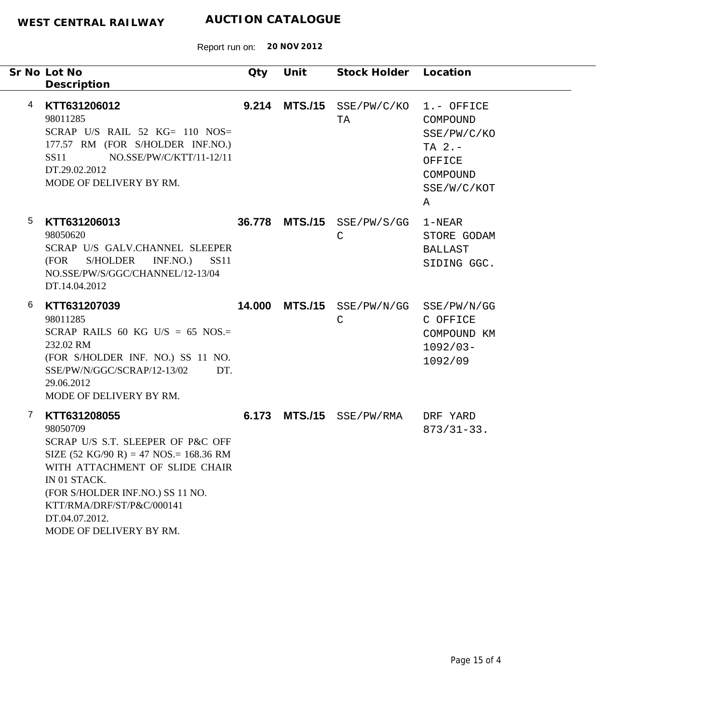|   | Sr No Lot No<br>Description                                                                                                                                                                                                                                                                               | Qty   | Unit | Stock Holder Location                      |                                                                                              |
|---|-----------------------------------------------------------------------------------------------------------------------------------------------------------------------------------------------------------------------------------------------------------------------------------------------------------|-------|------|--------------------------------------------|----------------------------------------------------------------------------------------------|
| 4 | KTT631206012<br>98011285<br>SCRAP U/S RAIL 52 $KG = 110$ NOS=<br>177.57 RM (FOR S/HOLDER INF.NO.)<br>NO.SSE/PW/C/KTT/11-12/11<br>SS11<br>DT.29.02.2012<br>MODE OF DELIVERY BY RM.                                                                                                                         | 9.214 |      | $MTS./15$ SSE/PW/C/KO<br>TA                | 1.- OFFICE<br>COMPOUND<br>SSE/PW/C/KO<br>TA $2. -$<br>OFFICE<br>COMPOUND<br>SSE/W/C/KOT<br>Α |
| 5 | KTT631206013<br>98050620<br>SCRAP U/S GALV.CHANNEL SLEEPER<br>(FOR<br>S/HOLDER<br>INF.NO.)<br><b>SS11</b><br>NO.SSE/PW/S/GGC/CHANNEL/12-13/04<br>DT.14.04.2012                                                                                                                                            |       |      | 36.778 MTS./15 SSE/PW/S/GG<br>$\mathsf{C}$ | 1-NEAR<br>STORE GODAM<br><b>BALLAST</b><br>SIDING GGC.                                       |
| 6 | KTT631207039<br>98011285<br>SCRAP RAILS 60 KG U/S = 65 NOS.=<br>232.02 RM<br>(FOR S/HOLDER INF. NO.) SS 11 NO.<br>SSE/PW/N/GGC/SCRAP/12-13/02<br>DT.<br>29.06.2012<br>MODE OF DELIVERY BY RM.                                                                                                             |       |      | 14.000 MTS./15 SSE/PW/N/GG<br>$\mathsf{C}$ | SSE/PW/N/GG<br>C OFFICE<br>COMPOUND KM<br>$1092/03 -$<br>1092/09                             |
| 7 | KTT631208055<br>98050709<br>SCRAP U/S S.T. SLEEPER OF P&C OFF<br>SIZE $(52 \text{ KG}/90 \text{ R}) = 47 \text{ NOS} = 168.36 \text{ RM}$<br>WITH ATTACHMENT OF SLIDE CHAIR<br>IN 01 STACK.<br>(FOR S/HOLDER INF.NO.) SS 11 NO.<br>KTT/RMA/DRF/ST/P&C/000141<br>DT.04.07.2012.<br>MODE OF DELIVERY BY RM. |       |      | 6.173 MTS./15 SSE/PW/RMA                   | DRF YARD<br>$873/31-33.$                                                                     |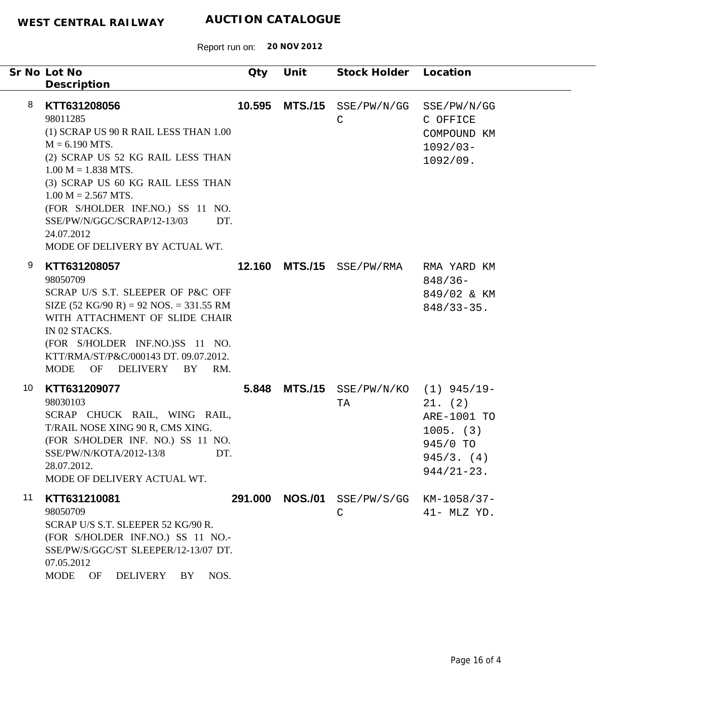|    | Sr No Lot No<br>Description                                                                                                                                                                                                                                                                                                                 | Qty     | Unit           | Stock Holder Location                   |                                                                                   |
|----|---------------------------------------------------------------------------------------------------------------------------------------------------------------------------------------------------------------------------------------------------------------------------------------------------------------------------------------------|---------|----------------|-----------------------------------------|-----------------------------------------------------------------------------------|
| 8  | KTT631208056<br>98011285<br>(1) SCRAP US 90 R RAIL LESS THAN 1.00<br>$M = 6.190$ MTS.<br>(2) SCRAP US 52 KG RAIL LESS THAN<br>$1.00 M = 1.838 MTS.$<br>(3) SCRAP US 60 KG RAIL LESS THAN<br>$1.00 M = 2.567 MTS.$<br>(FOR S/HOLDER INF.NO.) SS 11 NO.<br>SSE/PW/N/GGC/SCRAP/12-13/03<br>DT.<br>24.07.2012<br>MODE OF DELIVERY BY ACTUAL WT. | 10.595  | <b>MTS./15</b> | SSE/PW/N/GG<br>$\mathsf{C}$             | SSE/PW/N/GG<br>C OFFICE<br>COMPOUND KM<br>$1092/03 -$<br>1092/09.                 |
| 9  | KTT631208057<br>98050709<br>SCRAP U/S S.T. SLEEPER OF P&C OFF<br>SIZE $(52 \text{ KG}/90 \text{ R}) = 92 \text{ NOS} = 331.55 \text{ RM}$<br>WITH ATTACHMENT OF SLIDE CHAIR<br>IN 02 STACKS.<br>(FOR S/HOLDER INF.NO.)SS 11 NO.<br>KTT/RMA/ST/P&C/000143 DT. 09.07.2012.<br>OF DELIVERY<br><b>MODE</b><br>BY<br>RM.                         | 12.160  | <b>MTS./15</b> | SSE/PW/RMA                              | RMA YARD KM<br>$848/36-$<br>849/02 & KM<br>$848/33 - 35$ .                        |
| 10 | KTT631209077<br>98030103<br>SCRAP CHUCK RAIL, WING RAIL,<br>T/RAIL NOSE XING 90 R, CMS XING.<br>(FOR S/HOLDER INF. NO.) SS 11 NO.<br>SSE/PW/N/KOTA/2012-13/8<br>DT.<br>28.07.2012.<br>MODE OF DELIVERY ACTUAL WT.                                                                                                                           | 5.848   |                | MTS./15 SSE/PW/N/KO (1) 945/19-<br>TA   | 21. (2)<br>ARE-1001 TO<br>$1005.$ (3)<br>945/0 TO<br>945/3. (4)<br>$944/21 - 23.$ |
| 11 | KTT631210081<br>98050709<br>SCRAP U/S S.T. SLEEPER 52 KG/90 R.<br>(FOR S/HOLDER INF.NO.) SS 11 NO.-<br>SSE/PW/S/GGC/ST SLEEPER/12-13/07 DT.<br>07.05.2012<br>NOS.<br><b>MODE</b><br>OF<br>DELIVERY<br>BY                                                                                                                                    | 291.000 | <b>NOS./01</b> | SSE/PW/S/GG KM-1058/37-<br>$\mathsf{C}$ | 41- MLZ YD.                                                                       |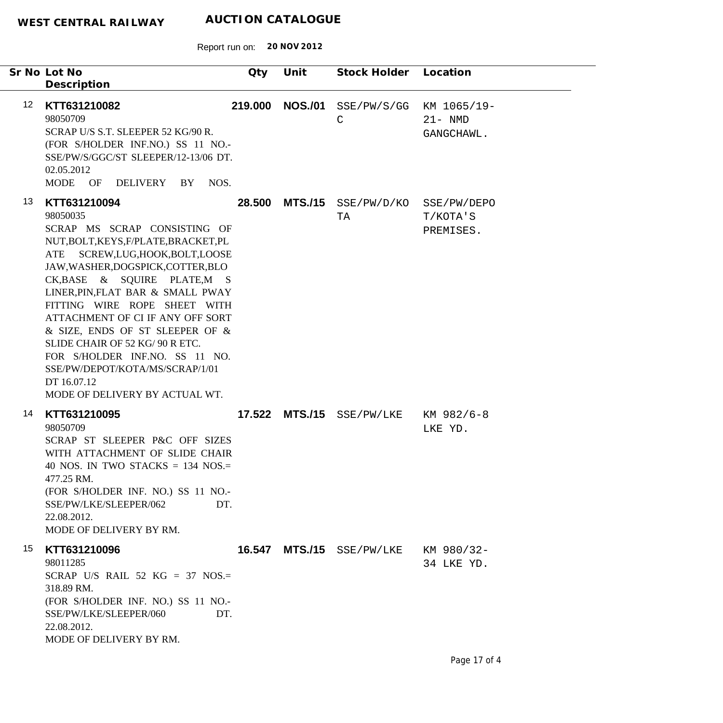|                   | Sr No Lot No<br>Description                                                                                                                                                                                                                                                                                                                                                                                                                                                                                          | Qty     | Unit           | Stock Holder Location               |                                         |
|-------------------|----------------------------------------------------------------------------------------------------------------------------------------------------------------------------------------------------------------------------------------------------------------------------------------------------------------------------------------------------------------------------------------------------------------------------------------------------------------------------------------------------------------------|---------|----------------|-------------------------------------|-----------------------------------------|
| $12 \overline{ }$ | KTT631210082<br>98050709<br>SCRAP U/S S.T. SLEEPER 52 KG/90 R.<br>(FOR S/HOLDER INF.NO.) SS 11 NO.-<br>SSE/PW/S/GGC/ST SLEEPER/12-13/06 DT.<br>02.05.2012<br>NOS.<br>MODE OF DELIVERY BY                                                                                                                                                                                                                                                                                                                             | 219.000 |                | NOS./01 SSE/PW/S/GG<br>$\mathsf{C}$ | KM 1065/19-<br>$21 - NMD$<br>GANGCHAWL. |
| 13                | KTT631210094<br>98050035<br>SCRAP MS SCRAP CONSISTING OF<br>NUT, BOLT, KEYS, F/PLATE, BRACKET, PL<br>SCREW, LUG, HOOK, BOLT, LOOSE<br>ATE<br>JAW, WASHER, DOGSPICK, COTTER, BLO<br>CK, BASE & SQUIRE PLATE, M S<br>LINER, PIN, FLAT BAR & SMALL PWAY<br>FITTING WIRE ROPE SHEET WITH<br>ATTACHMENT OF CI IF ANY OFF SORT<br>& SIZE, ENDS OF ST SLEEPER OF &<br>SLIDE CHAIR OF 52 KG/ 90 R ETC.<br>FOR S/HOLDER INF.NO. SS 11 NO.<br>SSE/PW/DEPOT/KOTA/MS/SCRAP/1/01<br>DT 16.07.12<br>MODE OF DELIVERY BY ACTUAL WT. | 28.500  |                | MTS./15 SSE/PW/D/KO<br>TA           | SSE/PW/DEPO<br>T/KOTA'S<br>PREMISES.    |
| 14                | KTT631210095<br>98050709<br>SCRAP ST SLEEPER P&C OFF SIZES<br>WITH ATTACHMENT OF SLIDE CHAIR<br>40 NOS. IN TWO STACKS $=$ 134 NOS. $=$<br>477.25 RM.<br>(FOR S/HOLDER INF. NO.) SS 11 NO.-<br>SSE/PW/LKE/SLEEPER/062<br>DT.<br>22.08.2012.<br>MODE OF DELIVERY BY RM.                                                                                                                                                                                                                                                |         |                | 17.522 MTS./15 SSE/PW/LKE           | KM 982/6-8<br>LKE YD.                   |
| 15                | KTT631210096<br>98011285<br>SCRAP U/S RAIL 52 KG = 37 NOS.=<br>318.89 RM.<br>(FOR S/HOLDER INF. NO.) SS 11 NO.-<br>SSE/PW/LKE/SLEEPER/060<br>DT.<br>22.08.2012.<br>MODE OF DELIVERY BY RM.                                                                                                                                                                                                                                                                                                                           | 16.547  | <b>MTS./15</b> | SSE/PW/LKE                          | KM 980/32-<br>34 LKE YD.                |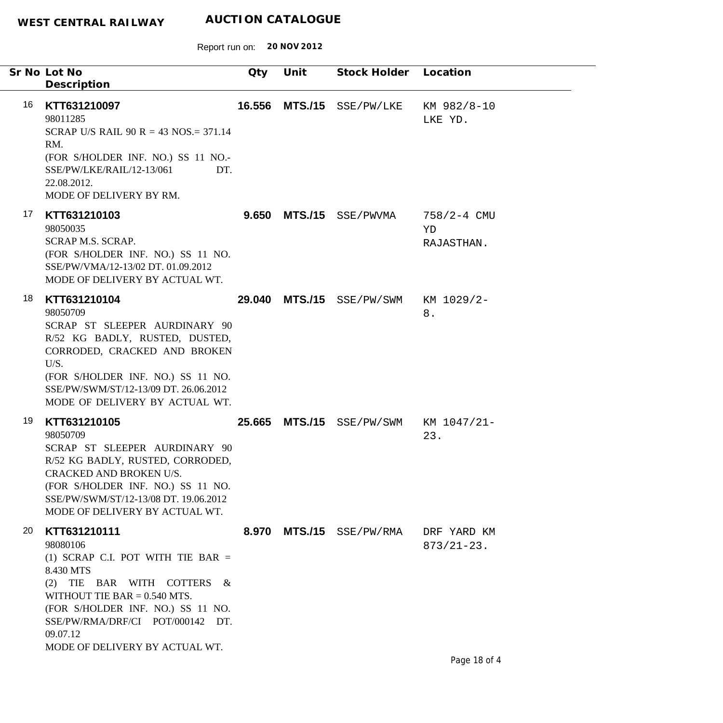|    | Sr No Lot No<br>Description                                                                                                                                                                                                                                            | Qty    | Unit | Stock Holder Location     |                                     |
|----|------------------------------------------------------------------------------------------------------------------------------------------------------------------------------------------------------------------------------------------------------------------------|--------|------|---------------------------|-------------------------------------|
| 16 | KTT631210097<br>98011285<br>SCRAP U/S RAIL 90 R = 43 NOS. = 371.14<br>RM.<br>(FOR S/HOLDER INF. NO.) SS 11 NO.-<br>SSE/PW/LKE/RAIL/12-13/061<br>DT.<br>22.08.2012.<br>MODE OF DELIVERY BY RM.                                                                          | 16.556 |      | MTS./15 SSE/PW/LKE        | KM 982/8-10<br>LKE YD.              |
| 17 | KTT631210103<br>98050035<br><b>SCRAP M.S. SCRAP.</b><br>(FOR S/HOLDER INF. NO.) SS 11 NO.<br>SSE/PW/VMA/12-13/02 DT. 01.09.2012<br>MODE OF DELIVERY BY ACTUAL WT.                                                                                                      |        |      | $9.650$ MTS./15 SSE/PWVMA | $758/2 - 4$ CMU<br>YD<br>RAJASTHAN. |
| 18 | KTT631210104<br>98050709<br>SCRAP ST SLEEPER AURDINARY 90<br>R/52 KG BADLY, RUSTED, DUSTED,<br>CORRODED, CRACKED AND BROKEN<br>U/S.<br>(FOR S/HOLDER INF. NO.) SS 11 NO.<br>SSE/PW/SWM/ST/12-13/09 DT. 26.06.2012<br>MODE OF DELIVERY BY ACTUAL WT.                    |        |      | 29.040 MTS./15 SSE/PW/SWM | KM 1029/2-<br>$8$ .                 |
| 19 | KTT631210105<br>98050709<br>SCRAP ST SLEEPER AURDINARY 90<br>R/52 KG BADLY, RUSTED, CORRODED,<br>CRACKED AND BROKEN U/S.<br>(FOR S/HOLDER INF. NO.) SS 11 NO.<br>SSE/PW/SWM/ST/12-13/08 DT. 19.06.2012<br>MODE OF DELIVERY BY ACTUAL WT.                               | 25.665 |      | MTS./15 SSE/PW/SWM        | KM 1047/21-<br>23.                  |
| 20 | KTT631210111<br>98080106<br>(1) SCRAP C.I. POT WITH TIE BAR $=$<br>8.430 MTS<br>(2) TIE BAR WITH COTTERS $\&$<br>WITHOUT TIE BAR $= 0.540$ MTS.<br>(FOR S/HOLDER INF. NO.) SS 11 NO.<br>SSE/PW/RMA/DRF/CI POT/000142 DT.<br>09.07.12<br>MODE OF DELIVERY BY ACTUAL WT. |        |      | 8.970 MTS./15 SSE/PW/RMA  | DRF YARD KM<br>$873/21 - 23$ .      |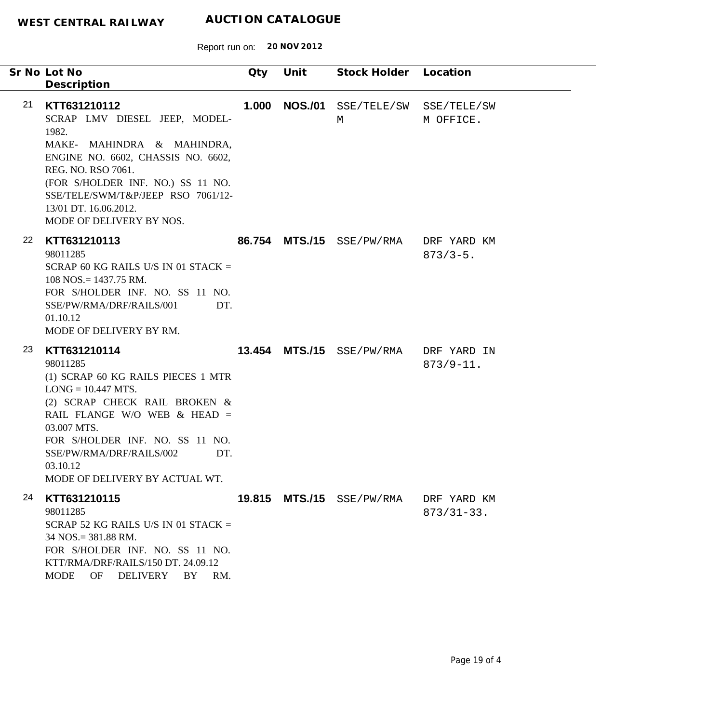| Sr No Lot No<br>Description                                                                                                                                                                                                                                                                       | Qty   | Unit           | Stock Holder Location     |                                |
|---------------------------------------------------------------------------------------------------------------------------------------------------------------------------------------------------------------------------------------------------------------------------------------------------|-------|----------------|---------------------------|--------------------------------|
| 21<br>KTT631210112<br>SCRAP LMV DIESEL JEEP, MODEL-<br>1982.<br>MAKE- MAHINDRA & MAHINDRA,<br>ENGINE NO. 6602, CHASSIS NO. 6602,<br>REG. NO. RSO 7061.<br>(FOR S/HOLDER INF. NO.) SS 11 NO.<br>SSE/TELE/SWM/T&P/JEEP RSO 7061/12-<br>13/01 DT. 16.06.2012.<br>MODE OF DELIVERY BY NOS.            | 1.000 | <b>NOS./01</b> | SSE/TELE/SW<br>M          | SSE/TELE/SW<br>M OFFICE.       |
| 22<br>KTT631210113<br>98011285<br>SCRAP 60 KG RAILS U/S IN 01 STACK $=$<br>$108$ NOS. = 1437.75 RM.<br>FOR S/HOLDER INF. NO. SS 11 NO.<br>SSE/PW/RMA/DRF/RAILS/001<br>DT.<br>01.10.12<br>MODE OF DELIVERY BY RM.                                                                                  |       |                | 86.754 MTS./15 SSE/PW/RMA | DRF YARD KM<br>$873/3 - 5$ .   |
| 23<br>KTT631210114<br>98011285<br>(1) SCRAP 60 KG RAILS PIECES 1 MTR<br>$LONG = 10.447 MTS$ .<br>(2) SCRAP CHECK RAIL BROKEN &<br>RAIL FLANGE W/O WEB & HEAD =<br>03.007 MTS.<br>FOR S/HOLDER INF. NO. SS 11 NO.<br>SSE/PW/RMA/DRF/RAILS/002<br>DT.<br>03.10.12<br>MODE OF DELIVERY BY ACTUAL WT. |       |                | 13.454 MTS./15 SSE/PW/RMA | DRF YARD IN<br>$873/9 - 11.$   |
| 24<br>KTT631210115<br>98011285<br>SCRAP 52 KG RAILS U/S IN 01 STACK $=$<br>34 NOS. = 381.88 RM.<br>FOR S/HOLDER INF. NO. SS 11 NO.<br>KTT/RMA/DRF/RAILS/150 DT. 24.09.12<br><b>MODE</b><br>OF<br><b>DELIVERY</b><br>BY<br>RM.                                                                     |       |                | 19.815 MTS./15 SSE/PW/RMA | DRF YARD KM<br>$873/31 - 33$ . |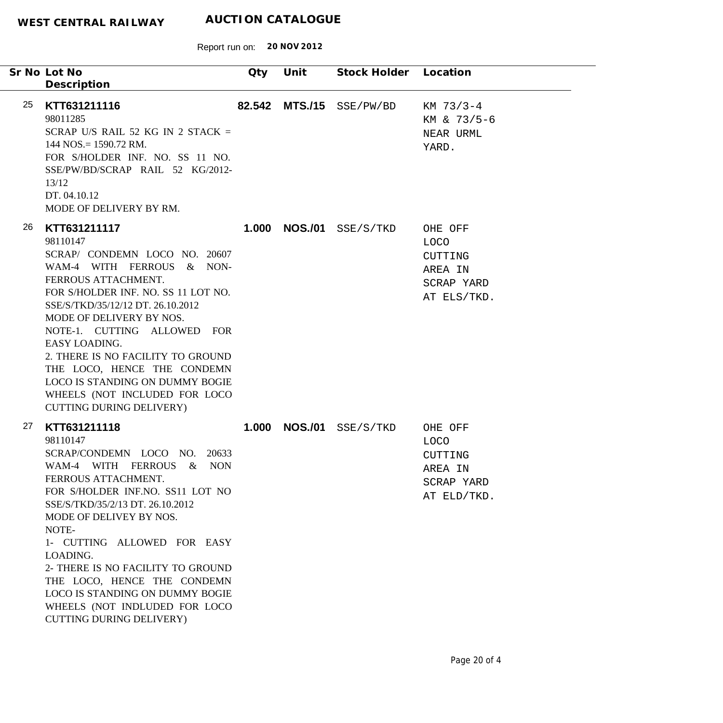| Sr No Lot No<br>Description                                                                                                                                                                                                                                                                                                                                                                                                                                  | Qty   | Unit           | Stock Holder Location          |                                                                           |
|--------------------------------------------------------------------------------------------------------------------------------------------------------------------------------------------------------------------------------------------------------------------------------------------------------------------------------------------------------------------------------------------------------------------------------------------------------------|-------|----------------|--------------------------------|---------------------------------------------------------------------------|
| 25<br>KTT631211116<br>98011285<br>SCRAP U/S RAIL 52 KG IN 2 STACK =<br>$144$ NOS. = 1590.72 RM.<br>FOR S/HOLDER INF. NO. SS 11 NO.<br>SSE/PW/BD/SCRAP RAIL 52 KG/2012-<br>13/12<br>DT. 04.10.12<br>MODE OF DELIVERY BY RM.                                                                                                                                                                                                                                   |       | 82.542 MTS./15 | SSE/PW/BD                      | $KM$ 73/3-4<br>KM & 73/5-6<br>NEAR URML<br>YARD.                          |
| 26<br>KTT631211117<br>98110147<br>SCRAP/ CONDEMN LOCO NO. 20607<br>WAM-4 WITH FERROUS & NON-<br>FERROUS ATTACHMENT.<br>FOR S/HOLDER INF. NO. SS 11 LOT NO.<br>SSE/S/TKD/35/12/12 DT. 26.10.2012<br>MODE OF DELIVERY BY NOS.<br>NOTE-1. CUTTING ALLOWED FOR<br>EASY LOADING.<br>2. THERE IS NO FACILITY TO GROUND<br>THE LOCO, HENCE THE CONDEMN<br>LOCO IS STANDING ON DUMMY BOGIE<br>WHEELS (NOT INCLUDED FOR LOCO<br><b>CUTTING DURING DELIVERY)</b>       |       |                | <b>1.000 NOS./01</b> SSE/S/TKD | OHE OFF<br><b>LOCO</b><br>CUTTING<br>AREA IN<br>SCRAP YARD<br>AT ELS/TKD. |
| 27<br>KTT631211118<br>98110147<br>SCRAP/CONDEMN LOCO NO. 20633<br>WAM-4 WITH FERROUS<br>NON<br>$\&$<br>FERROUS ATTACHMENT.<br>FOR S/HOLDER INF.NO. SS11 LOT NO<br>SSE/S/TKD/35/2/13 DT. 26.10.2012<br>MODE OF DELIVEY BY NOS.<br>NOTE-<br>1- CUTTING ALLOWED FOR EASY<br>LOADING.<br>2- THERE IS NO FACILITY TO GROUND<br>THE LOCO, HENCE THE CONDEMN<br>LOCO IS STANDING ON DUMMY BOGIE<br>WHEELS (NOT INDLUDED FOR LOCO<br><b>CUTTING DURING DELIVERY)</b> | 1.000 | <b>NOS./01</b> | SSE/S/TKD                      | OHE OFF<br><b>LOCO</b><br>CUTTING<br>AREA IN<br>SCRAP YARD<br>AT ELD/TKD. |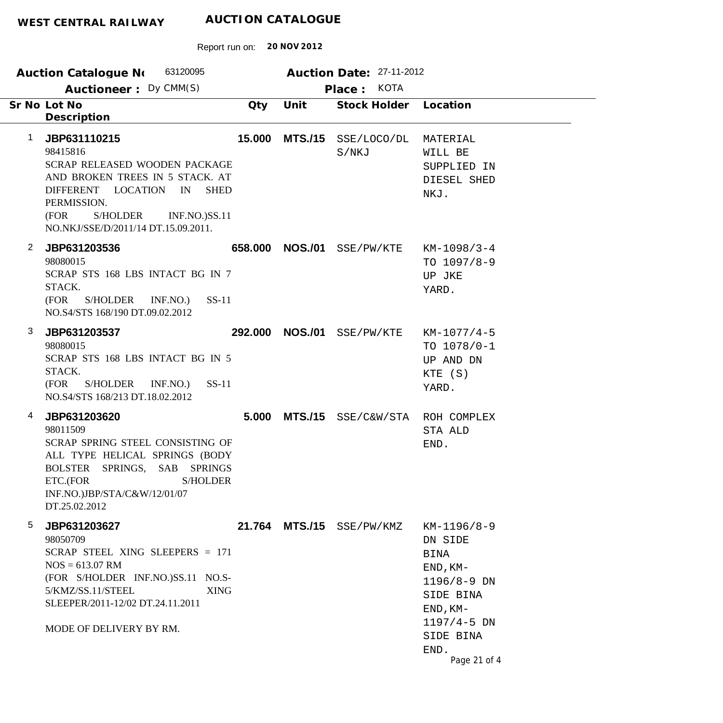| 63120095<br><b>Auction Catalogue No</b>                                                                                                                                                                                                     |        |                 | Auction Date: 27-11-2012    |                                                                                                                                                           |
|---------------------------------------------------------------------------------------------------------------------------------------------------------------------------------------------------------------------------------------------|--------|-----------------|-----------------------------|-----------------------------------------------------------------------------------------------------------------------------------------------------------|
| Auctioneer: Dy CMM(S)<br>Sr No Lot No<br>Description                                                                                                                                                                                        | Qty    | Unit            | Place: KOTA<br>Stock Holder | Location                                                                                                                                                  |
| JBP631110215<br>1<br>98415816<br>SCRAP RELEASED WOODEN PACKAGE<br>AND BROKEN TREES IN 5 STACK. AT<br>DIFFERENT LOCATION IN<br><b>SHED</b><br>PERMISSION.<br>(FOR<br>S/HOLDER<br><b>INF.NO.)SS.11</b><br>NO.NKJ/SSE/D/2011/14 DT.15.09.2011. | 15.000 | <b>MTS./15</b>  | SSE/LOCO/DL<br>S/NKJ        | MATERIAL<br>WILL BE<br>SUPPLIED IN<br>DIESEL SHED<br>NKJ.                                                                                                 |
| $\overline{2}$<br>JBP631203536<br>98080015<br>SCRAP STS 168 LBS INTACT BG IN 7<br>STACK.<br>(FOR<br>S/HOLDER INF.NO.)<br>$SS-11$<br>NO.S4/STS 168/190 DT.09.02.2012                                                                         |        | 658.000 NOS./01 | SSE/PW/KTE                  | $KM-1098/3-4$<br>TO $1097/8-9$<br>UP JKE<br>YARD.                                                                                                         |
| 3<br>JBP631203537<br>98080015<br>SCRAP STS 168 LBS INTACT BG IN 5<br>STACK.<br>(FOR<br>S/HOLDER INF.NO.)<br>$SS-11$<br>NO.S4/STS 168/213 DT.18.02.2012                                                                                      |        | 292.000 NOS./01 | SSE/PW/KTE                  | $KM-1077/4-5$<br>TO $1078/0-1$<br>UP AND DN<br>KTE (S)<br>YARD.                                                                                           |
| JBP631203620<br>4<br>98011509<br><b>SCRAP SPRING STEEL CONSISTING OF</b><br>ALL TYPE HELICAL SPRINGS (BODY<br>BOLSTER SPRINGS, SAB SPRINGS<br>ETC.(FOR<br><b>S/HOLDER</b><br>INF.NO.)JBP/STA/C&W/12/01/07<br>DT.25.02.2012                  |        |                 | 5.000 MTS./15 SSE/C&W/STA   | ROH COMPLEX<br>STA ALD<br>END.                                                                                                                            |
| 5<br>JBP631203627<br>98050709<br>SCRAP STEEL XING SLEEPERS = 171<br>$NOS = 613.07$ RM<br>(FOR S/HOLDER INF.NO.)SS.11 NO.S-<br>5/KMZ/SS.11/STEEL<br><b>XING</b><br>SLEEPER/2011-12/02 DT.24.11.2011<br>MODE OF DELIVERY BY RM.               |        |                 | 21.764 MTS./15 SSE/PW/KMZ   | KM-1196/8-9<br>DN SIDE<br><b>BINA</b><br>$END, KM-$<br>$1196/8 - 9$ DN<br>SIDE BINA<br>$END, KM-$<br>$1197/4 - 5$ DN<br>SIDE BINA<br>END.<br>Page 21 of 4 |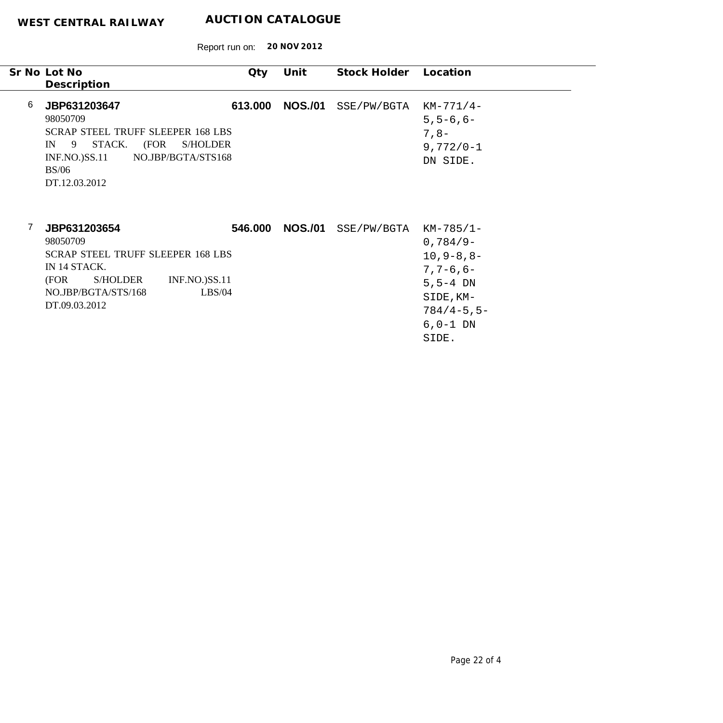|   | Sr No Lot No<br>Description                                                                                                                                                                     | Qty     | Unit           | Stock Holder              | Location                                                                                                                    |
|---|-------------------------------------------------------------------------------------------------------------------------------------------------------------------------------------------------|---------|----------------|---------------------------|-----------------------------------------------------------------------------------------------------------------------------|
| 6 | JBP631203647<br>98050709<br><b>SCRAP STEEL TRUFF SLEEPER 168 LBS</b><br>STACK.<br>(FOR<br>9 <sup>7</sup><br>S/HOLDER<br>IN<br>NO.JBP/BGTA/STS168<br>$INF.NO.$ $SS.11$<br>BS/06<br>DT.12.03.2012 | 613.000 | <b>NOS./01</b> | SSE/PW/BGTA               | $KM-771/4-$<br>$5, 5 - 6, 6 -$<br>$7,8-$<br>$9,772/0 - 1$<br>DN SIDE.                                                       |
|   | JBP631203654<br>98050709<br><b>SCRAP STEEL TRUFF SLEEPER 168 LBS</b><br>IN 14 STACK.<br>(FOR<br><b>S/HOLDER</b><br><b>INF.NO.)SS.11</b><br>NO.JBP/BGTA/STS/168<br>LBS/04<br>DT.09.03.2012       | 546.000 | <b>NOS./01</b> | $SSE/PW/BGTA$ $KM-785/1-$ | $0,784/9-$<br>$10, 9 - 8, 8 -$<br>$7, 7 - 6, 6 -$<br>$5, 5 - 4$ DN<br>SIDE, KM-<br>$784/4 - 5, 5 -$<br>$6, 0-1$ DN<br>SIDE. |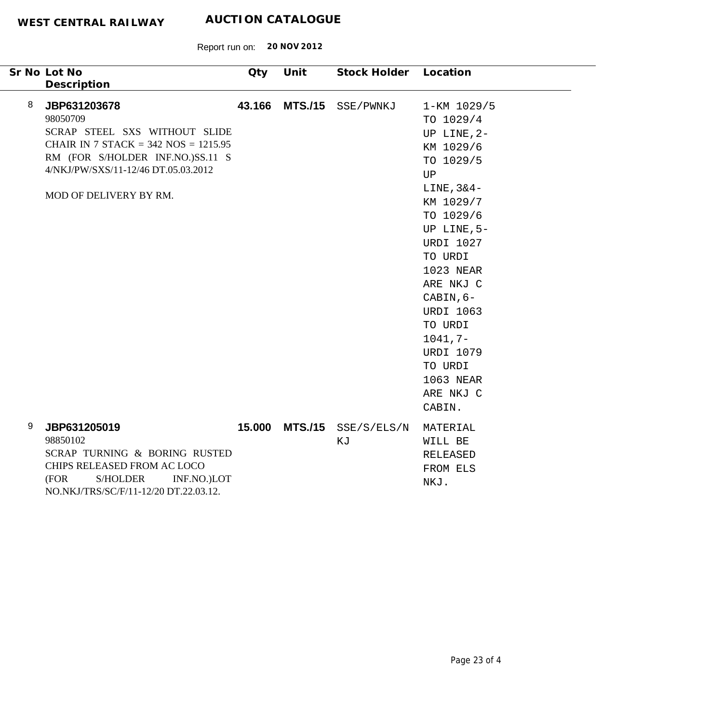| Sr No Lot No<br>Description                                                                                                                                                                                   | Qty         | Unit           | Stock Holder Location |                                                                                                                                                                                                                                                                                                                                            |  |
|---------------------------------------------------------------------------------------------------------------------------------------------------------------------------------------------------------------|-------------|----------------|-----------------------|--------------------------------------------------------------------------------------------------------------------------------------------------------------------------------------------------------------------------------------------------------------------------------------------------------------------------------------------|--|
| 8<br>JBP631203678<br>98050709<br>SCRAP STEEL SXS WITHOUT SLIDE<br>CHAIR IN 7 STACK = 342 NOS = $1215.95$<br>RM (FOR S/HOLDER INF.NO.)SS.11 S<br>4/NKJ/PW/SXS/11-12/46 DT.05.03.2012<br>MOD OF DELIVERY BY RM. | 43.166      | <b>MTS./15</b> | SSE/PWNKJ             | 1-KM 1029/5<br>TO 1029/4<br>UP LINE, 2-<br>KM 1029/6<br>TO 1029/5<br>$\mathbf{U}\mathbf{P}$<br>$LINE, 3&4-$<br>KM 1029/7<br>TO 1029/6<br>UP LINE, 5-<br><b>URDI 1027</b><br>TO URDI<br>1023 NEAR<br>ARE NKJ C<br>CABIN, 6-<br><b>URDI 1063</b><br>TO URDI<br>$1041, 7-$<br><b>URDI 1079</b><br>TO URDI<br>1063 NEAR<br>ARE NKJ C<br>CABIN. |  |
| 9<br>JBP631205019<br>98850102<br>SCRAP TURNING & BORING RUSTED<br>CHIPS RELEASED FROM AC LOCO<br>S/HOLDER<br>(FOR<br>NO.NKJ/TRS/SC/F/11-12/20 DT.22.03.12.                                                    | INF.NO.)LOT | 15.000 MTS./15 | SSE/S/ELS/N<br>ΚJ     | MATERIAL<br>WILL BE<br>RELEASED<br>FROM ELS<br>NKJ.                                                                                                                                                                                                                                                                                        |  |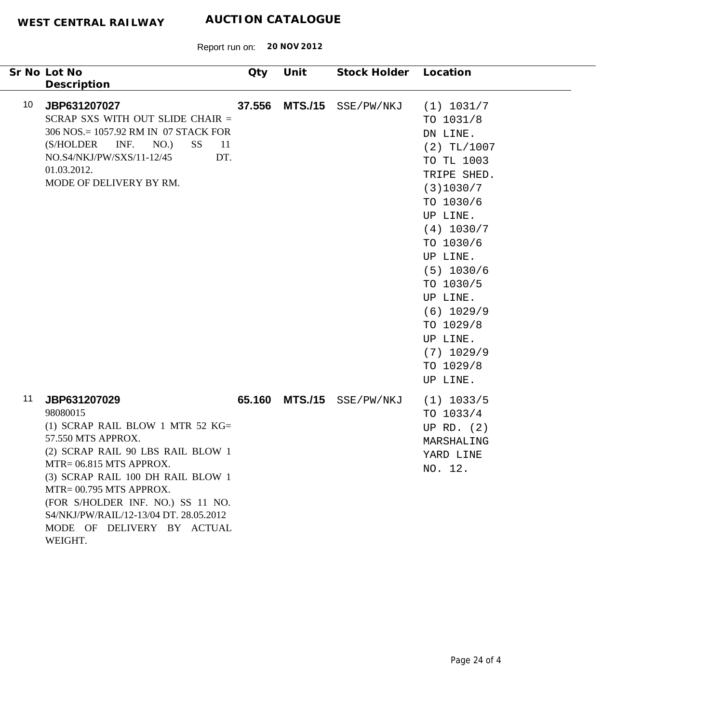|    | Sr No Lot No                                                                                                                                                                                                                                                                                                                                  | Qty    | Unit           | Stock Holder Location |                                                                                                                                                                                                                                                                                           |
|----|-----------------------------------------------------------------------------------------------------------------------------------------------------------------------------------------------------------------------------------------------------------------------------------------------------------------------------------------------|--------|----------------|-----------------------|-------------------------------------------------------------------------------------------------------------------------------------------------------------------------------------------------------------------------------------------------------------------------------------------|
|    | Description                                                                                                                                                                                                                                                                                                                                   |        |                |                       |                                                                                                                                                                                                                                                                                           |
| 10 | JBP631207027<br>SCRAP SXS WITH OUT SLIDE CHAIR =<br>306 NOS.= 1057.92 RM IN 07 STACK FOR<br>INF.<br>(S/HOLDER<br>NO.)<br><b>SS</b><br>-11<br>NO.S4/NKJ/PW/SXS/11-12/45<br>DT.<br>01.03.2012.<br>MODE OF DELIVERY BY RM.                                                                                                                       | 37.556 | <b>MTS./15</b> | SSE/PW/NKJ            | (1) 1031/7<br>TO 1031/8<br>DN LINE.<br>$(2)$ TL/1007<br>TO TL 1003<br>TRIPE SHED.<br>(3)1030/7<br>TO 1030/6<br>UP LINE.<br>(4) 1030/7<br>TO 1030/6<br>UP LINE.<br>$(5)$ 1030/6<br>TO 1030/5<br>UP LINE.<br>$(6)$ 1029/9<br>TO 1029/8<br>UP LINE.<br>$(7)$ 1029/9<br>TO 1029/8<br>UP LINE. |
| 11 | JBP631207029<br>98080015<br>(1) SCRAP RAIL BLOW 1 MTR 52 $KG =$<br>57.550 MTS APPROX.<br>(2) SCRAP RAIL 90 LBS RAIL BLOW 1<br>MTR= 06.815 MTS APPROX.<br>(3) SCRAP RAIL 100 DH RAIL BLOW 1<br>MTR= 00.795 MTS APPROX.<br>(FOR S/HOLDER INF. NO.) SS 11 NO.<br>S4/NKJ/PW/RAIL/12-13/04 DT. 28.05.2012<br>MODE OF DELIVERY BY ACTUAL<br>WEIGHT. | 65.160 |                | MTS./15 SSE/PW/NKJ    | $(1)$ 1033/5<br>TO 1033/4<br>UP RD. $(2)$<br>MARSHALING<br>YARD LINE<br>NO. 12.                                                                                                                                                                                                           |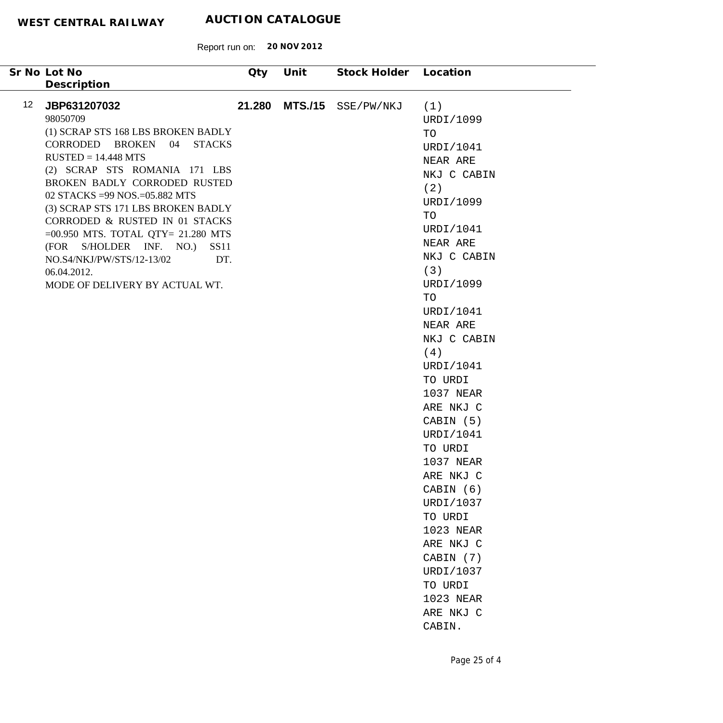| Sr No Lot No<br>Description                                                                                                                                                                                                                                                                                                                                                                                                                                                           | <b>Qty</b> | Unit           | Stock Holder Location |                                                                                                                                                                                                                                                                                                                                                                                                                                                                    |
|---------------------------------------------------------------------------------------------------------------------------------------------------------------------------------------------------------------------------------------------------------------------------------------------------------------------------------------------------------------------------------------------------------------------------------------------------------------------------------------|------------|----------------|-----------------------|--------------------------------------------------------------------------------------------------------------------------------------------------------------------------------------------------------------------------------------------------------------------------------------------------------------------------------------------------------------------------------------------------------------------------------------------------------------------|
| 12 <sup>12</sup><br>JBP631207032<br>98050709<br>(1) SCRAP STS 168 LBS BROKEN BADLY<br>CORRODED BROKEN 04 STACKS<br>$RUSTED = 14.448 MTS$<br>(2) SCRAP STS ROMANIA 171 LBS<br>BROKEN BADLY CORRODED RUSTED<br>02 STACKS = 99 NOS. = 05.882 MTS<br>(3) SCRAP STS 171 LBS BROKEN BADLY<br>CORRODED & RUSTED IN 01 STACKS<br>$=00.950$ MTS. TOTAL QTY= 21.280 MTS<br>(FOR S/HOLDER INF. NO.)<br>SS11<br>NO.S4/NKJ/PW/STS/12-13/02<br>DT.<br>06.04.2012.<br>MODE OF DELIVERY BY ACTUAL WT. | 21.280     | <b>MTS./15</b> | SSE/PW/NKJ            | (1)<br>URDI/1099<br>TO<br>URDI/1041<br>NEAR ARE<br>NKJ C CABIN<br>(2)<br>URDI/1099<br>TO<br>URDI/1041<br>NEAR ARE<br>NKJ C CABIN<br>(3)<br>URDI/1099<br>TO<br>URDI/1041<br>NEAR ARE<br>NKJ C CABIN<br>(4)<br>URDI/1041<br>TO URDI<br>1037 NEAR<br>ARE NKJ C<br>CABIN (5)<br>URDI/1041<br>TO URDI<br>1037 NEAR<br>ARE NKJ C<br>CABIN (6)<br>URDI/1037<br>TO URDI<br>1023 NEAR<br>ARE NKJ C<br>CABIN (7)<br>URDI/1037<br>TO URDI<br>1023 NEAR<br>ARE NKJ C<br>CABIN. |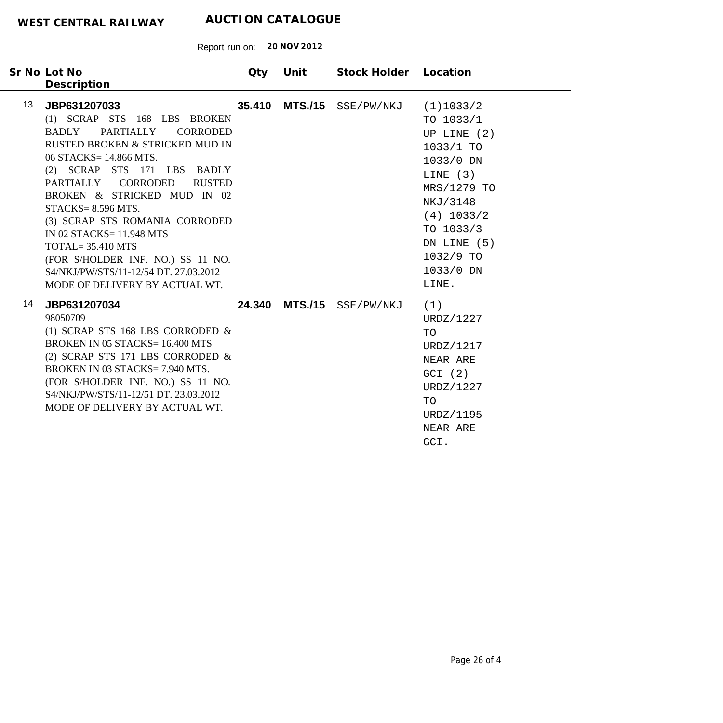| Sr No Lot No<br>Description                                                                                                                                                                                                                                                                                                                                                                                                                                                                                | Qty    | Unit | Stock Holder Location     |                                                                                                                                                                                             |
|------------------------------------------------------------------------------------------------------------------------------------------------------------------------------------------------------------------------------------------------------------------------------------------------------------------------------------------------------------------------------------------------------------------------------------------------------------------------------------------------------------|--------|------|---------------------------|---------------------------------------------------------------------------------------------------------------------------------------------------------------------------------------------|
| 13 <sup>13</sup><br>JBP631207033<br>(1) SCRAP STS 168 LBS BROKEN<br>PARTIALLY<br><b>CORRODED</b><br>BADLY<br>RUSTED BROKEN & STRICKED MUD IN<br>06 STACKS= 14.866 MTS.<br>(2) SCRAP STS 171 LBS BADLY<br>PARTIALLY CORRODED<br><b>RUSTED</b><br>BROKEN & STRICKED MUD IN 02<br>$STACKS = 8.596 MTS.$<br>(3) SCRAP STS ROMANIA CORRODED<br>IN 02 STACKS= 11.948 MTS<br>$TOTAL = 35.410 MTS$<br>(FOR S/HOLDER INF. NO.) SS 11 NO.<br>S4/NKJ/PW/STS/11-12/54 DT. 27.03.2012<br>MODE OF DELIVERY BY ACTUAL WT. | 35.410 |      | MTS./15 SSE/PW/NKJ        | (1)1033/2<br>TO $1033/1$<br>UP LINE $(2)$<br>1033/1 TO<br>1033/0 DN<br>LINE $(3)$<br>MRS/1279 TO<br>NKJ/3148<br>$(4)$ 1033/2<br>TO 1033/3<br>DN LINE (5)<br>1032/9 TO<br>1033/0 DN<br>LINE. |
| 14<br>JBP631207034<br>98050709<br>(1) SCRAP STS 168 LBS CORRODED $\&$<br><b>BROKEN IN 05 STACKS=16.400 MTS</b><br>(2) SCRAP STS 171 LBS CORRODED $\&$<br>BROKEN IN 03 STACKS= 7.940 MTS.<br>(FOR S/HOLDER INF. NO.) SS 11 NO.<br>S4/NKJ/PW/STS/11-12/51 DT. 23.03.2012<br>MODE OF DELIVERY BY ACTUAL WT.                                                                                                                                                                                                   |        |      | 24.340 MTS./15 SSE/PW/NKJ | (1)<br>URDZ/1227<br>TO<br>URDZ/1217<br>NEAR ARE<br>GCI (2)<br>URDZ/1227<br>TO<br>URDZ/1195<br>NEAR ARE<br>GCI.                                                                              |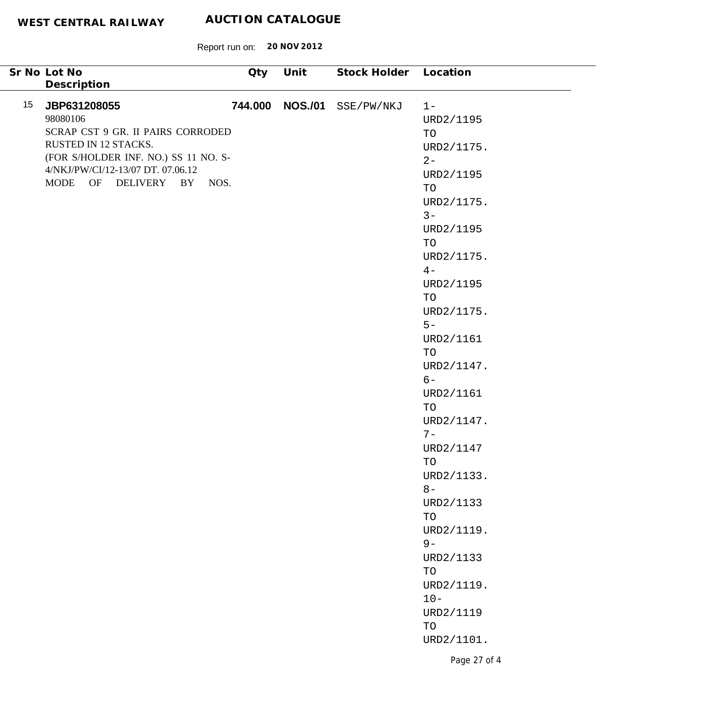Report run on: **20 NOV 2012**

 $\sim$ 

|                 | Sr No Lot No                                                                                                                                                                                         | Qty | Unit            | Stock Holder Location |                                                                                                                                                       |
|-----------------|------------------------------------------------------------------------------------------------------------------------------------------------------------------------------------------------------|-----|-----------------|-----------------------|-------------------------------------------------------------------------------------------------------------------------------------------------------|
|                 | Description                                                                                                                                                                                          |     |                 |                       |                                                                                                                                                       |
| 15 <sub>1</sub> | JBP631208055<br>98080106<br>SCRAP CST 9 GR. II PAIRS CORRODED<br>RUSTED IN 12 STACKS.<br>(FOR S/HOLDER INF. NO.) SS 11 NO. S-<br>4/NKJ/PW/CI/12-13/07 DT. 07.06.12<br>MODE OF<br>DELIVERY BY<br>NOS. |     | 744.000 NOS./01 | SSE/PW/NKJ            | $1 -$<br>URD2/1195<br>TO<br>URD2/1175.<br>$2 -$<br>URD2/1195<br>TO<br>URD2/1175.<br>$3 -$<br>URD2/1195<br>TO<br>URD2/1175.<br>$4-$<br>URD2/1195<br>TO |
|                 |                                                                                                                                                                                                      |     |                 |                       | URD2/1175.<br>$5 -$<br>URD2/1161<br>TO<br>URD2/1147.<br>$6-$<br>URD2/1161<br>TO<br>URD2/1147.<br>$7-$                                                 |
|                 |                                                                                                                                                                                                      |     |                 |                       | URD2/1147<br>TO<br>URD2/1133.<br>$8-$<br>URD2/1133<br>TO                                                                                              |
|                 |                                                                                                                                                                                                      |     |                 |                       | URD2/1119.<br>$9-$<br>URD2/1133<br>$\operatorname{TO}$<br>URD2/1119.<br>$10 -$<br>URD2/1119<br>$\operatorname{TO}$<br>URD2/1101.                      |
|                 |                                                                                                                                                                                                      |     |                 |                       | Page 27 of 4                                                                                                                                          |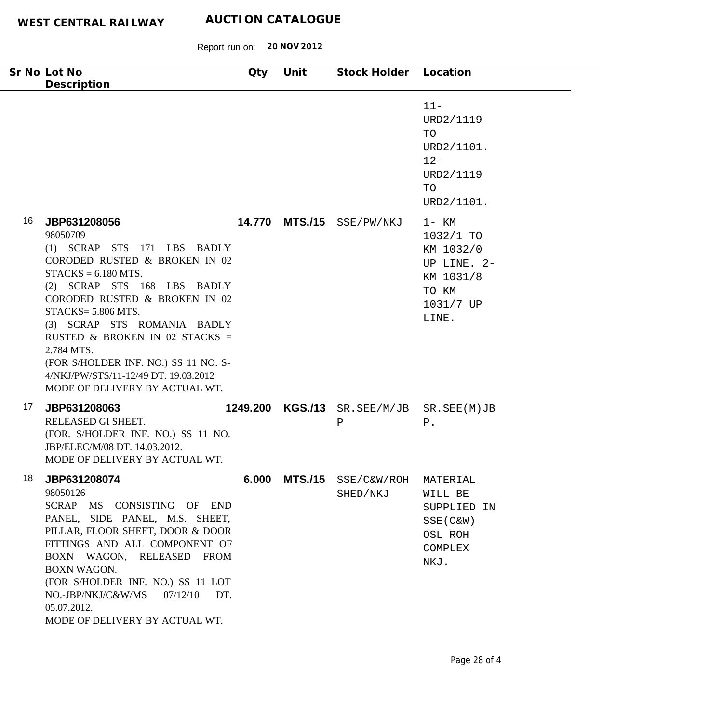|    | Sr No Lot No<br>Description                                                                                                                                                                                                                                                                                                                                                                              | Qty      | Unit           | Stock Holder Location                  |                                                                                               |
|----|----------------------------------------------------------------------------------------------------------------------------------------------------------------------------------------------------------------------------------------------------------------------------------------------------------------------------------------------------------------------------------------------------------|----------|----------------|----------------------------------------|-----------------------------------------------------------------------------------------------|
|    |                                                                                                                                                                                                                                                                                                                                                                                                          |          |                |                                        | $11 -$<br>URD2/1119<br>TO<br>URD2/1101.<br>$12 -$<br>URD2/1119<br>TO<br>URD2/1101.            |
| 16 | JBP631208056<br>98050709<br>(1) SCRAP STS 171 LBS BADLY<br>CORODED RUSTED & BROKEN IN 02<br>$STACKS = 6.180 MTS.$<br>(2) SCRAP STS 168 LBS BADLY<br>CORODED RUSTED & BROKEN IN 02<br>STACKS= 5.806 MTS.<br>(3) SCRAP STS ROMANIA BADLY<br>RUSTED & BROKEN IN 02 STACKS =<br>2.784 MTS.<br>(FOR S/HOLDER INF. NO.) SS 11 NO. S-<br>4/NKJ/PW/STS/11-12/49 DT. 19.03.2012<br>MODE OF DELIVERY BY ACTUAL WT. |          | 14.770 MTS./15 | SSE/PW/NKJ                             | $1 - KM$<br>1032/1 TO<br>KM 1032/0<br>UP LINE. 2-<br>KM 1031/8<br>TO KM<br>1031/7 UP<br>LINE. |
| 17 | JBP631208063<br>RELEASED GI SHEET.<br>(FOR. S/HOLDER INF. NO.) SS 11 NO.<br>JBP/ELEC/M/08 DT. 14.03.2012.<br>MODE OF DELIVERY BY ACTUAL WT.                                                                                                                                                                                                                                                              | 1249.200 |                | KGS./13 SR. SEE/M/JB SR. SEE(M)JB<br>Ρ | $P$ .                                                                                         |
| 18 | JBP631208074<br>98050126<br>SCRAP MS CONSISTING OF END<br>PANEL, SIDE PANEL, M.S. SHEET,<br>PILLAR, FLOOR SHEET, DOOR & DOOR<br>FITTINGS AND ALL COMPONENT OF<br>BOXN WAGON, RELEASED FROM<br>BOXN WAGON.<br>(FOR S/HOLDER INF. NO.) SS 11 LOT<br>NO.-JBP/NKJ/C&W/MS<br>07/12/10<br>DT.<br>05.07.2012.<br>MODE OF DELIVERY BY ACTUAL WT.                                                                 | 6.000    | <b>MTS./15</b> | SSE/C&W/ROH<br>SHED/NKJ                | MATERIAL<br>WILL BE<br>SUPPLIED IN<br>$SSE(C\&W)$<br>OSL ROH<br><b>COMPLEX</b><br>NKJ.        |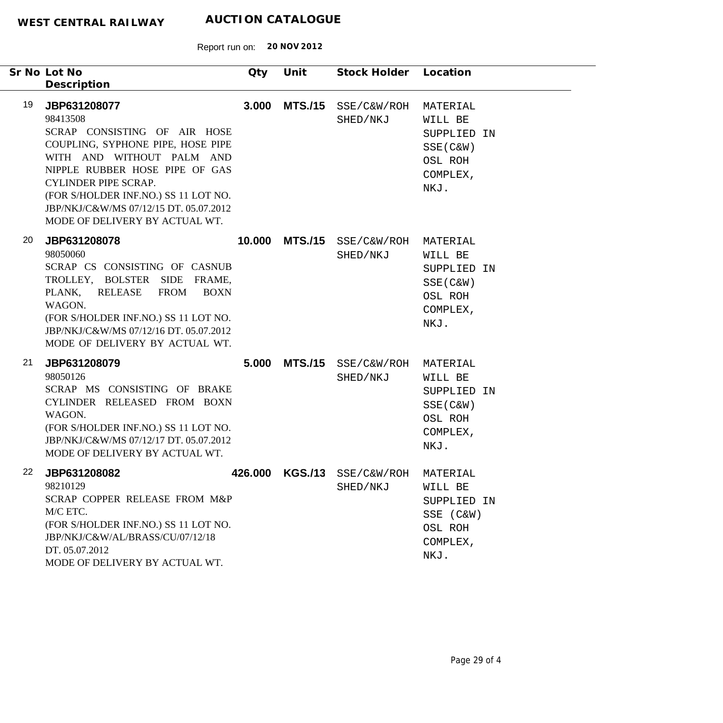|    | Sr No Lot No<br>Description                                                                                                                                                                                                                                                                                     | Qty     | Unit           | Stock Holder            | Location                                                                         |
|----|-----------------------------------------------------------------------------------------------------------------------------------------------------------------------------------------------------------------------------------------------------------------------------------------------------------------|---------|----------------|-------------------------|----------------------------------------------------------------------------------|
| 19 | JBP631208077<br>98413508<br>SCRAP CONSISTING OF AIR HOSE<br>COUPLING, SYPHONE PIPE, HOSE PIPE<br>WITH AND WITHOUT PALM AND<br>NIPPLE RUBBER HOSE PIPE OF GAS<br><b>CYLINDER PIPE SCRAP.</b><br>(FOR S/HOLDER INF.NO.) SS 11 LOT NO.<br>JBP/NKJ/C&W/MS 07/12/15 DT. 05.07.2012<br>MODE OF DELIVERY BY ACTUAL WT. | 3.000   | <b>MTS./15</b> | SSE/C&W/ROH<br>SHED/NKJ | MATERIAL<br>WILL BE<br>SUPPLIED IN<br>$SSE(C\&W)$<br>OSL ROH<br>COMPLEX,<br>NKJ. |
| 20 | JBP631208078<br>98050060<br>SCRAP CS CONSISTING OF CASNUB<br>TROLLEY, BOLSTER SIDE<br>FRAME,<br>PLANK,<br><b>RELEASE</b><br><b>FROM</b><br><b>BOXN</b><br>WAGON.<br>(FOR S/HOLDER INF.NO.) SS 11 LOT NO.<br>JBP/NKJ/C&W/MS 07/12/16 DT. 05.07.2012<br>MODE OF DELIVERY BY ACTUAL WT.                            | 10.000  | <b>MTS./15</b> | SSE/C&W/ROH<br>SHED/NKJ | MATERIAL<br>WILL BE<br>SUPPLIED IN<br>SSE (C&W)<br>OSL ROH<br>COMPLEX,<br>NKJ.   |
| 21 | JBP631208079<br>98050126<br>SCRAP MS CONSISTING OF BRAKE<br>CYLINDER RELEASED FROM BOXN<br>WAGON.<br>(FOR S/HOLDER INF.NO.) SS 11 LOT NO.<br>JBP/NKJ/C&W/MS 07/12/17 DT. 05.07.2012<br>MODE OF DELIVERY BY ACTUAL WT.                                                                                           | 5.000   | <b>MTS./15</b> | SSE/C&W/ROH<br>SHED/NKJ | MATERIAL<br>WILL BE<br>SUPPLIED IN<br>$SSE(C\&W)$<br>OSL ROH<br>COMPLEX,<br>NKJ. |
| 22 | JBP631208082<br>98210129<br>SCRAP COPPER RELEASE FROM M&P<br>M/C ETC.<br>(FOR S/HOLDER INF.NO.) SS 11 LOT NO.<br>JBP/NKJ/C&W/AL/BRASS/CU/07/12/18<br>DT. 05.07.2012<br>MODE OF DELIVERY BY ACTUAL WT.                                                                                                           | 426.000 | <b>KGS./13</b> | SSE/C&W/ROH<br>SHED/NKJ | MATERIAL<br>WILL BE<br>SUPPLIED IN<br>SSE (C&W)<br>OSL ROH<br>COMPLEX,<br>NKJ.   |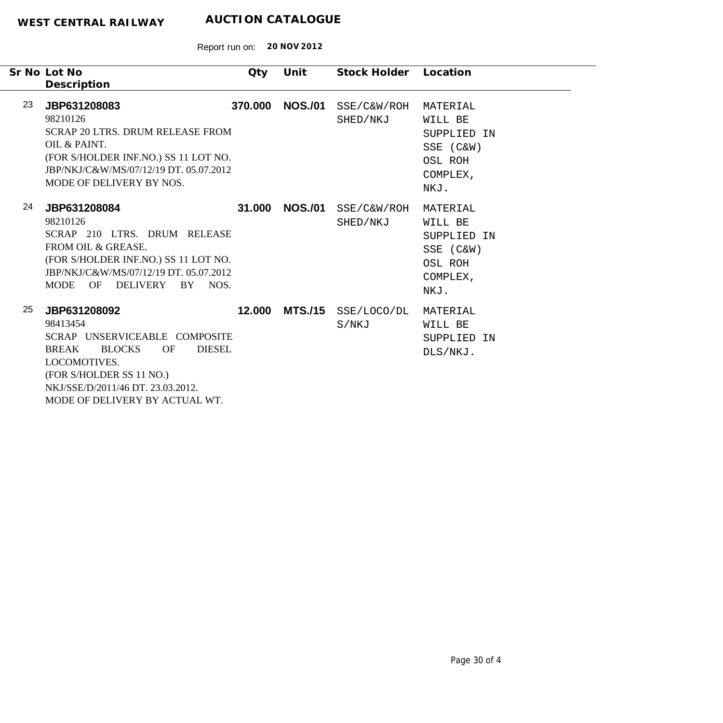|    | Sr No Lot No<br>Description                                                                                                                                                                                                                 | Qty     | Unit           | Stock Holder            | Location                                                                       |
|----|---------------------------------------------------------------------------------------------------------------------------------------------------------------------------------------------------------------------------------------------|---------|----------------|-------------------------|--------------------------------------------------------------------------------|
| 23 | JBP631208083<br>98210126<br><b>SCRAP 20 LTRS. DRUM RELEASE FROM</b><br>OIL & PAINT.<br>(FOR S/HOLDER INF.NO.) SS 11 LOT NO.<br>JBP/NKJ/C&W/MS/07/12/19 DT. 05.07.2012<br>MODE OF DELIVERY BY NOS.                                           | 370,000 | <b>NOS./01</b> | SSE/C&W/ROH<br>SHED/NKJ | MATERIAL<br>WILL BE<br>SUPPLIED IN<br>SSE (C&W)<br>OSL ROH<br>COMPLEX,<br>NKJ. |
| 24 | JBP631208084<br>98210126<br>SCRAP 210 LTRS. DRUM RELEASE<br>FROM OIL & GREASE.<br>(FOR S/HOLDER INF.NO.) SS 11 LOT NO.<br>JBP/NKJ/C&W/MS/07/12/19 DT. 05.07.2012<br>MODE OF<br>DELIVERY<br>BY NOS.                                          | 31.000  | <b>NOS./01</b> | SSE/C&W/ROH<br>SHED/NKJ | MATERIAL<br>WILL BE<br>SUPPLIED IN<br>SSE (C&W)<br>OSL ROH<br>COMPLEX,<br>NKJ. |
| 25 | JBP631208092<br>98413454<br>SCRAP UNSERVICEABLE COMPOSITE<br><b>BLOCKS</b><br><b>OF</b><br><b>DIESEL</b><br><b>BREAK</b><br>LOCOMOTIVES.<br>(FOR S/HOLDER SS 11 NO.)<br>NKJ/SSE/D/2011/46 DT, 23.03.2012.<br>MODE OF DELIVERY BY ACTUAL WT. | 12.000  | <b>MTS./15</b> | SSE/LOCO/DL<br>S/NKJ    | MATERIAL<br>WILL BE<br>SUPPLIED IN<br>DLS/NKJ.                                 |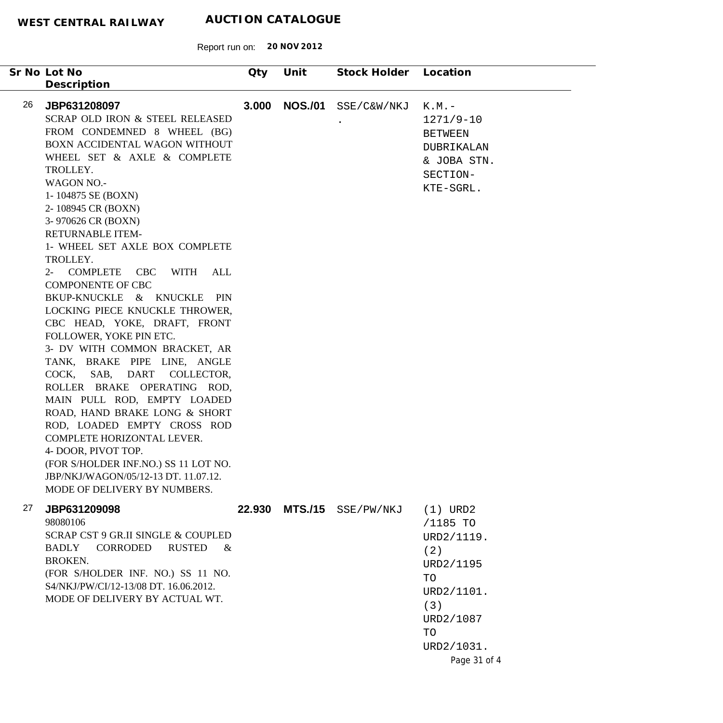| Sr No Lot No                                                                                                                                                                                                                                                                                                                                                                                                                                                                                                                                                                                                                                                                                                                                                                                                                                                                                                                               | Qty   | Unit           | Stock Holder | Location                                                                                                                             |
|--------------------------------------------------------------------------------------------------------------------------------------------------------------------------------------------------------------------------------------------------------------------------------------------------------------------------------------------------------------------------------------------------------------------------------------------------------------------------------------------------------------------------------------------------------------------------------------------------------------------------------------------------------------------------------------------------------------------------------------------------------------------------------------------------------------------------------------------------------------------------------------------------------------------------------------------|-------|----------------|--------------|--------------------------------------------------------------------------------------------------------------------------------------|
| Description<br>26<br>JBP631208097<br>SCRAP OLD IRON & STEEL RELEASED<br>FROM CONDEMNED 8 WHEEL (BG)<br>BOXN ACCIDENTAL WAGON WITHOUT<br>WHEEL SET & AXLE & COMPLETE<br>TROLLEY.<br><b>WAGON NO.-</b><br>1-104875 SE (BOXN)<br>2-108945 CR (BOXN)<br>3-970626 CR (BOXN)<br><b>RETURNABLE ITEM-</b><br>1- WHEEL SET AXLE BOX COMPLETE<br>TROLLEY.<br>2- COMPLETE CBC WITH<br>ALL<br><b>COMPONENTE OF CBC</b><br>BKUP-KNUCKLE & KNUCKLE<br>PIN<br>LOCKING PIECE KNUCKLE THROWER,<br>CBC HEAD, YOKE, DRAFT, FRONT<br>FOLLOWER, YOKE PIN ETC.<br>3- DV WITH COMMON BRACKET, AR<br>TANK, BRAKE PIPE LINE, ANGLE<br>COCK, SAB, DART COLLECTOR,<br>ROLLER BRAKE OPERATING ROD,<br>MAIN PULL ROD, EMPTY LOADED<br>ROAD, HAND BRAKE LONG & SHORT<br>ROD, LOADED EMPTY CROSS ROD<br>COMPLETE HORIZONTAL LEVER.<br>4- DOOR, PIVOT TOP.<br>(FOR S/HOLDER INF.NO.) SS 11 LOT NO.<br>JBP/NKJ/WAGON/05/12-13 DT. 11.07.12.<br>MODE OF DELIVERY BY NUMBERS. | 3.000 | <b>NOS./01</b> | SSE/C&W/NKJ  | $K.M.$ -<br>$1271/9-10$<br><b>BETWEEN</b><br>DUBRIKALAN<br>& JOBA STN.<br>SECTION-<br>KTE-SGRL.                                      |
| 27<br>JBP631209098<br>98080106<br>SCRAP CST 9 GR.II SINGLE & COUPLED<br><b>BADLY</b><br>CORRODED<br><b>RUSTED</b><br>&<br><b>BROKEN.</b><br>(FOR S/HOLDER INF. NO.) SS 11 NO.<br>S4/NKJ/PW/CI/12-13/08 DT. 16.06.2012.<br>MODE OF DELIVERY BY ACTUAL WT.                                                                                                                                                                                                                                                                                                                                                                                                                                                                                                                                                                                                                                                                                   |       | 22.930 MTS./15 | SSE/PW/NKJ   | $(1)$ URD2<br>/1185 TO<br>URD2/1119.<br>(2)<br>URD2/1195<br>TO<br>URD2/1101.<br>(3)<br>URD2/1087<br>TO<br>URD2/1031.<br>Page 31 of 4 |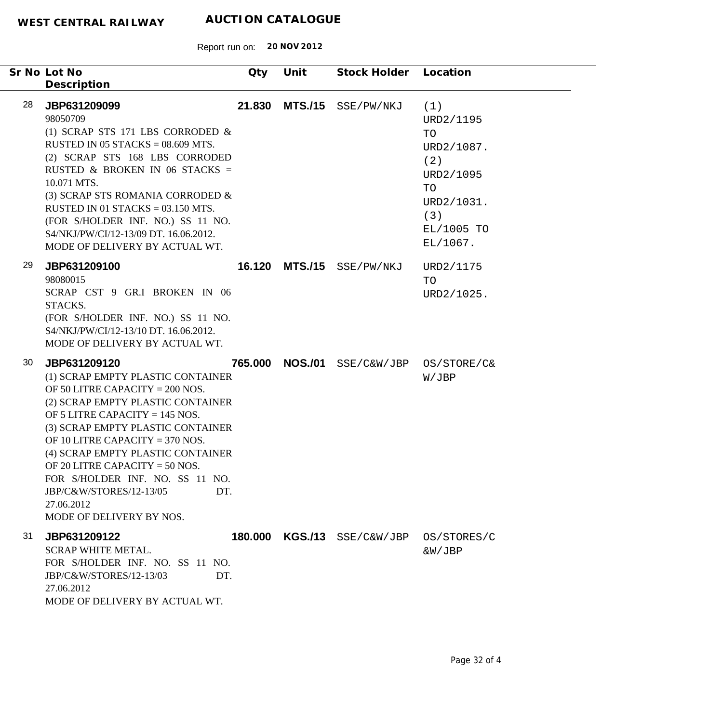|    | Sr No Lot No<br>Description                                                                                                                                                                                                                                                                                                                                                                                                     | <b>Qty</b> | Unit           | Stock Holder             | Location                                                                                                      |
|----|---------------------------------------------------------------------------------------------------------------------------------------------------------------------------------------------------------------------------------------------------------------------------------------------------------------------------------------------------------------------------------------------------------------------------------|------------|----------------|--------------------------|---------------------------------------------------------------------------------------------------------------|
| 28 | JBP631209099<br>98050709<br>(1) SCRAP STS 171 LBS CORRODED $\&$<br>RUSTED IN 05 STACKS = $08.609$ MTS.<br>(2) SCRAP STS 168 LBS CORRODED<br>RUSTED & BROKEN IN 06 STACKS =<br>10.071 MTS.<br>(3) SCRAP STS ROMANIA CORRODED &<br>RUSTED IN 01 STACKS = $03.150$ MTS.<br>(FOR S/HOLDER INF. NO.) SS 11 NO.<br>S4/NKJ/PW/CI/12-13/09 DT. 16.06.2012.<br>MODE OF DELIVERY BY ACTUAL WT.                                            | 21.830     | <b>MTS./15</b> | SSE/PW/NKJ               | (1)<br>URD2/1195<br>TO<br>URD2/1087.<br>(2)<br>URD2/1095<br>TO<br>URD2/1031.<br>(3)<br>EL/1005 TO<br>EL/1067. |
| 29 | JBP631209100<br>98080015<br>SCRAP CST 9 GR.I BROKEN IN 06<br>STACKS.<br>(FOR S/HOLDER INF. NO.) SS 11 NO.<br>S4/NKJ/PW/CI/12-13/10 DT. 16.06.2012.<br>MODE OF DELIVERY BY ACTUAL WT.                                                                                                                                                                                                                                            | 16.120     | <b>MTS./15</b> | SSE/PW/NKJ               | URD2/1175<br><b>TO</b><br>URD2/1025.                                                                          |
| 30 | JBP631209120<br>(1) SCRAP EMPTY PLASTIC CONTAINER<br>OF 50 LITRE CAPACITY = 200 NOS.<br>(2) SCRAP EMPTY PLASTIC CONTAINER<br>OF 5 LITRE CAPACITY = $145$ NOS.<br>(3) SCRAP EMPTY PLASTIC CONTAINER<br>OF 10 LITRE CAPACITY = $370$ NOS.<br>(4) SCRAP EMPTY PLASTIC CONTAINER<br>OF 20 LITRE CAPACITY = $50$ NOS.<br>FOR S/HOLDER INF. NO. SS 11 NO.<br>JBP/C&W/STORES/12-13/05<br>DT.<br>27.06.2012<br>MODE OF DELIVERY BY NOS. | 765.000    | <b>NOS./01</b> | SSE/C&W/JBP              | OS/STORE/C&<br>W/JBP                                                                                          |
| 31 | JBP631209122<br><b>SCRAP WHITE METAL.</b><br>FOR S/HOLDER INF. NO. SS 11 NO.<br>JBP/C&W/STORES/12-13/03<br>DT.<br>27.06.2012<br>MODE OF DELIVERY BY ACTUAL WT.                                                                                                                                                                                                                                                                  | 180.000    |                | $KGS./13$ $SSE/C\&W/JBP$ | OS/STORES/C<br>&W/JBP                                                                                         |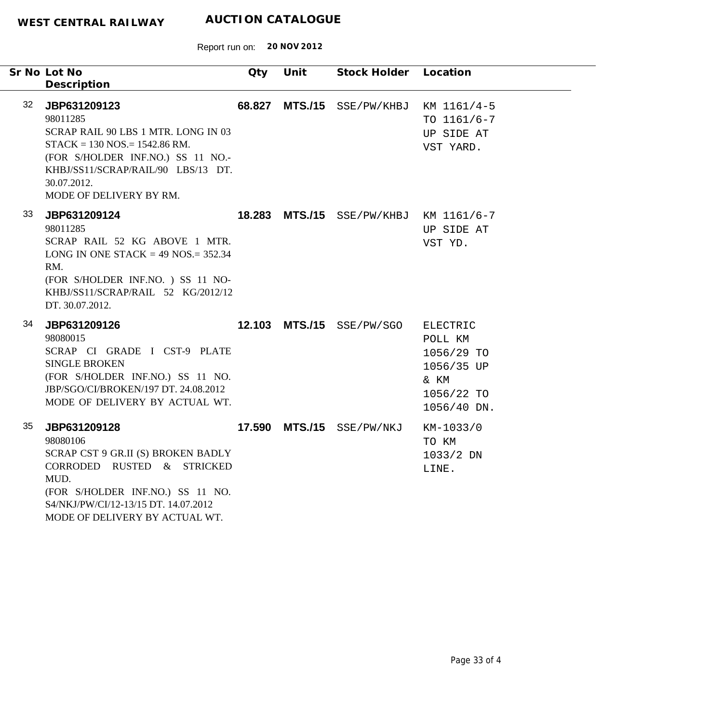|                 | Sr No Lot No<br>Description                                                                                                                                                                                             | Qty | Unit | Stock Holder Location                  |                                                                                      |
|-----------------|-------------------------------------------------------------------------------------------------------------------------------------------------------------------------------------------------------------------------|-----|------|----------------------------------------|--------------------------------------------------------------------------------------|
| 32 <sub>2</sub> | JBP631209123<br>98011285<br>SCRAP RAIL 90 LBS 1 MTR. LONG IN 03<br>$STACK = 130 NOS = 1542.86 RM.$<br>(FOR S/HOLDER INF.NO.) SS 11 NO.-<br>KHBJ/SS11/SCRAP/RAIL/90 LBS/13 DT.<br>30.07.2012.<br>MODE OF DELIVERY BY RM. |     |      | 68.827 MTS./15 SSE/PW/KHBJ             | KM 1161/4-5<br>TO $1161/6 - 7$<br>UP SIDE AT<br>VST YARD.                            |
| 33              | JBP631209124<br>98011285<br>SCRAP RAIL 52 KG ABOVE 1 MTR.<br>LONG IN ONE STACK = $49$ NOS. = 352.34<br>RM.<br>(FOR S/HOLDER INF.NO.) SS 11 NO-<br>KHBJ/SS11/SCRAP/RAIL 52 KG/2012/12<br>DT. 30.07.2012.                 |     |      | 18.283 MTS./15 SSE/PW/KHBJ KM 1161/6-7 | UP SIDE AT<br>VST YD.                                                                |
| 34              | JBP631209126<br>98080015<br>SCRAP CI GRADE I CST-9 PLATE<br><b>SINGLE BROKEN</b><br>(FOR S/HOLDER INF.NO.) SS 11 NO.<br>JBP/SGO/CI/BROKEN/197 DT. 24.08.2012<br>MODE OF DELIVERY BY ACTUAL WT.                          |     |      | 12.103 MTS./15 SSE/PW/SGO              | ELECTRIC<br>POLL KM<br>1056/29 TO<br>1056/35 UP<br>& KM<br>1056/22 TO<br>1056/40 DN. |
| 35              | JBP631209128<br>98080106<br>SCRAP CST 9 GR.II (S) BROKEN BADLY<br>CORRODED RUSTED & STRICKED<br>MUD.<br>(FOR S/HOLDER INF.NO.) SS 11 NO.<br>S4/NKJ/PW/CI/12-13/15 DT. 14.07.2012<br>MODE OF DELIVERY BY ACTUAL WT.      |     |      | 17.590 MTS./15 SSE/PW/NKJ              | KM-1033/0<br>TO KM<br>1033/2 DN<br>LINE.                                             |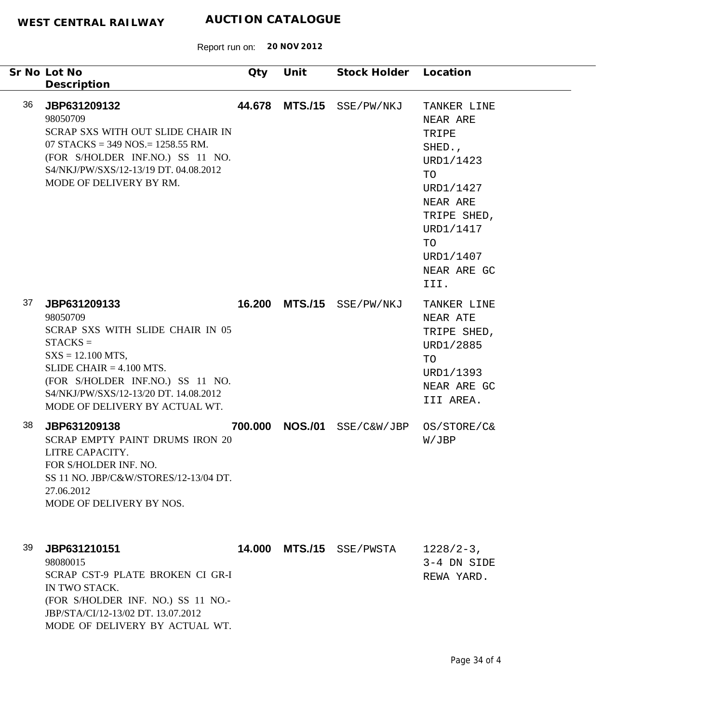|     | Sr No Lot No<br>Description                                                                                                                                                                                                                     | Qty     | Unit           | Stock Holder Location     |                                                                                                                                                              |
|-----|-------------------------------------------------------------------------------------------------------------------------------------------------------------------------------------------------------------------------------------------------|---------|----------------|---------------------------|--------------------------------------------------------------------------------------------------------------------------------------------------------------|
| 36  | JBP631209132<br>98050709<br>SCRAP SXS WITH OUT SLIDE CHAIR IN<br>07 STACKS = 349 NOS. = 1258.55 RM.<br>(FOR S/HOLDER INF.NO.) SS 11 NO.<br>S4/NKJ/PW/SXS/12-13/19 DT, 04.08.2012<br>MODE OF DELIVERY BY RM.                                     | 44.678  | <b>MTS./15</b> | SSE/PW/NKJ                | TANKER LINE<br>NEAR ARE<br>TRIPE<br>SHED.,<br>URD1/1423<br>TO<br>URD1/1427<br>NEAR ARE<br>TRIPE SHED,<br>URD1/1417<br>TO<br>URD1/1407<br>NEAR ARE GC<br>III. |
| 37  | JBP631209133<br>98050709<br>SCRAP SXS WITH SLIDE CHAIR IN 05<br>$STACKS =$<br>$SXS = 12.100 MTS$ ,<br>SLIDE CHAIR $= 4.100$ MTS.<br>(FOR S/HOLDER INF.NO.) SS 11 NO.<br>S4/NKJ/PW/SXS/12-13/20 DT. 14.08.2012<br>MODE OF DELIVERY BY ACTUAL WT. |         |                | 16.200 MTS./15 SSE/PW/NKJ | TANKER LINE<br>NEAR ATE<br>TRIPE SHED,<br>URD1/2885<br>TO<br>URD1/1393<br>NEAR ARE GC<br>III AREA.                                                           |
| 38  | JBP631209138<br><b>SCRAP EMPTY PAINT DRUMS IRON 20</b><br>LITRE CAPACITY.<br>FOR S/HOLDER INF. NO.<br>SS 11 NO. JBP/C&W/STORES/12-13/04 DT.<br>27.06.2012<br>MODE OF DELIVERY BY NOS.                                                           | 700.000 | <b>NOS./01</b> | SSE/C&W/JBP               | OS/STORE/C&<br>W/JBP                                                                                                                                         |
| 39. | JBP631210151<br>98080015<br>SCRAP CST-9 PLATE BROKEN CI GR-I<br>IN TWO STACK.<br>(FOR S/HOLDER INF. NO.) SS 11 NO.-<br>JBP/STA/CI/12-13/02 DT. 13.07.2012<br>MODE OF DELIVERY BY ACTUAL WT.                                                     |         | 14.000 MTS./15 | SSE/PWSTA                 | $1228/2-3$ ,<br>3-4 DN SIDE<br>REWA YARD.                                                                                                                    |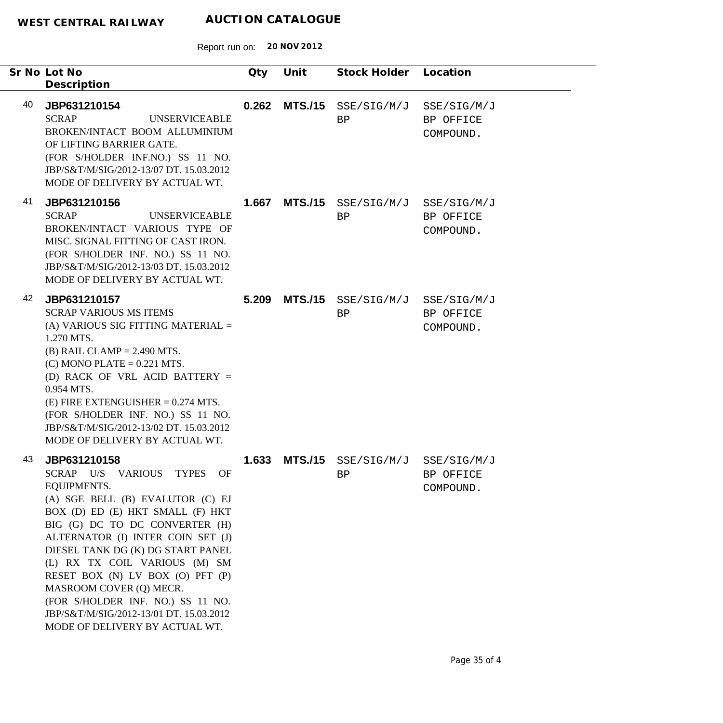| Sr No Lot No<br>Description                                                                                                                                                                                                                                                                                                                                                                                                                                                  | Qty   | Unit           | Stock Holder Location                 |                                       |
|------------------------------------------------------------------------------------------------------------------------------------------------------------------------------------------------------------------------------------------------------------------------------------------------------------------------------------------------------------------------------------------------------------------------------------------------------------------------------|-------|----------------|---------------------------------------|---------------------------------------|
| 40<br>JBP631210154<br><b>SCRAP</b><br><b>UNSERVICEABLE</b><br>BROKEN/INTACT BOOM ALLUMINIUM<br>OF LIFTING BARRIER GATE.<br>(FOR S/HOLDER INF.NO.) SS 11 NO.<br>JBP/S&T/M/SIG/2012-13/07 DT. 15.03.2012<br>MODE OF DELIVERY BY ACTUAL WT.                                                                                                                                                                                                                                     | 0.262 |                | $MTS./15$ $SSE/SIG/M/J$<br>BP         | SSE/SIG/M/J<br>BP OFFICE<br>COMPOUND. |
| 41<br>JBP631210156<br><b>SCRAP</b><br><b>UNSERVICEABLE</b><br>BROKEN/INTACT VARIOUS TYPE OF<br>MISC. SIGNAL FITTING OF CAST IRON.<br>(FOR S/HOLDER INF. NO.) SS 11 NO.<br>JBP/S&T/M/SIG/2012-13/03 DT. 15.03.2012<br>MODE OF DELIVERY BY ACTUAL WT.                                                                                                                                                                                                                          | 1.667 |                | MTS./15 SSE/SIG/M/J SSE/SIG/M/J<br>BP | BP OFFICE<br>COMPOUND.                |
| 42<br>JBP631210157<br><b>SCRAP VARIOUS MS ITEMS</b><br>(A) VARIOUS SIG FITTING MATERIAL $=$<br>1.270 MTS.<br>$(B)$ RAIL CLAMP = 2.490 MTS.<br>$(C)$ MONO PLATE = 0.221 MTS.<br>(D) RACK OF VRL ACID BATTERY =<br>0.954 MTS.<br>$(E)$ FIRE EXTENGUISHER = 0.274 MTS.<br>(FOR S/HOLDER INF. NO.) SS 11 NO.<br>JBP/S&T/M/SIG/2012-13/02 DT. 15.03.2012<br>MODE OF DELIVERY BY ACTUAL WT.                                                                                        | 5.209 | <b>MTS./15</b> | SSE/SIG/M/J SSE/SIG/M/J<br>BP         | BP OFFICE<br>COMPOUND.                |
| 43<br>JBP631210158<br>SCRAP U/S VARIOUS TYPES OF<br><b>EQUIPMENTS.</b><br>(A) SGE BELL (B) EVALUTOR (C) EJ<br>BOX (D) ED (E) HKT SMALL (F) HKT<br>BIG (G) DC TO DC CONVERTER (H)<br>ALTERNATOR (I) INTER COIN SET (J)<br>DIESEL TANK DG (K) DG START PANEL<br>(L) RX TX COIL VARIOUS (M) SM<br>RESET BOX (N) LV BOX (O) PFT (P)<br>MASROOM COVER (Q) MECR.<br>(FOR S/HOLDER INF. NO.) SS 11 NO.<br>JBP/S&T/M/SIG/2012-13/01 DT. 15.03.2012<br>MODE OF DELIVERY BY ACTUAL WT. | 1.633 |                | MTS./15 SSE/SIG/M/J SSE/SIG/M/J<br>BP | BP OFFICE<br>COMPOUND.                |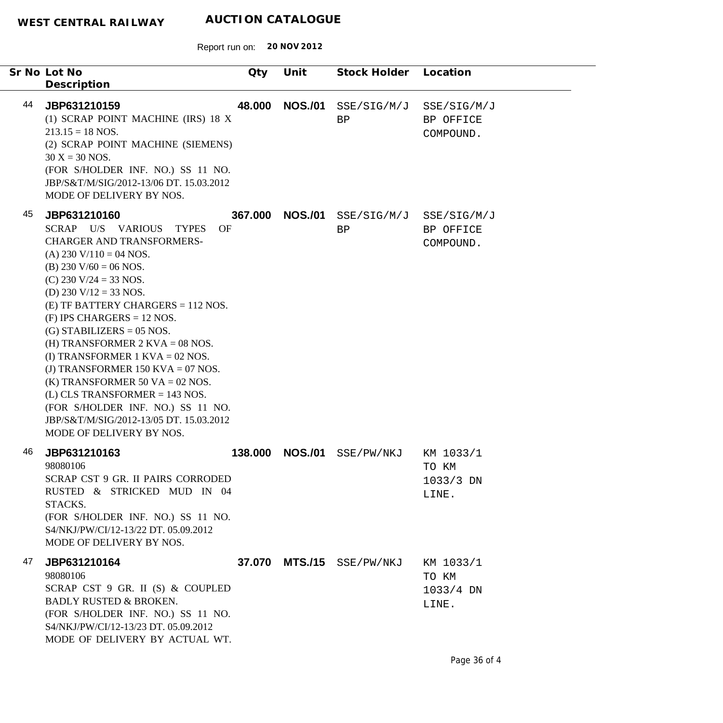|    | Sr No Lot No<br>Description                                                                                                                                                                                                                                                                                                                                                                                                                                                                                                                                                                                   | Qty     | Unit           | Stock Holder      | Location                                   |
|----|---------------------------------------------------------------------------------------------------------------------------------------------------------------------------------------------------------------------------------------------------------------------------------------------------------------------------------------------------------------------------------------------------------------------------------------------------------------------------------------------------------------------------------------------------------------------------------------------------------------|---------|----------------|-------------------|--------------------------------------------|
| 44 | JBP631210159<br>(1) SCRAP POINT MACHINE (IRS) 18 X<br>$213.15 = 18$ NOS.<br>(2) SCRAP POINT MACHINE (SIEMENS)<br>$30 X = 30 NOS.$<br>(FOR S/HOLDER INF. NO.) SS 11 NO.<br>JBP/S&T/M/SIG/2012-13/06 DT. 15.03.2012<br>MODE OF DELIVERY BY NOS.                                                                                                                                                                                                                                                                                                                                                                 | 48.000  | <b>NOS./01</b> | SSE/SIG/M/J<br>BP | SSE/SIG/M/J<br>BP OFFICE<br>COMPOUND.      |
| 45 | JBP631210160<br>SCRAP U/S VARIOUS<br><b>TYPES</b><br>OF<br><b>CHARGER AND TRANSFORMERS-</b><br>(A) 230 V/110 = 04 NOS.<br>(B) 230 V/60 = 06 NOS.<br>(C) 230 V/24 = 33 NOS.<br>(D) 230 V/12 = 33 NOS.<br>$(E)$ TF BATTERY CHARGERS = 112 NOS.<br>$(F)$ IPS CHARGERS = 12 NOS.<br>$(G)$ STABILIZERS = 05 NOS.<br>(H) TRANSFORMER $2$ KVA = 08 NOS.<br>(I) TRANSFORMER $1$ KVA = 02 NOS.<br>(J) TRANSFORMER 150 KVA = 07 NOS.<br>(K) TRANSFORMER 50 VA = 02 NOS.<br>$(L)$ CLS TRANSFORMER = 143 NOS.<br>(FOR S/HOLDER INF. NO.) SS 11 NO.<br>JBP/S&T/M/SIG/2012-13/05 DT. 15.03.2012<br>MODE OF DELIVERY BY NOS. | 367.000 | <b>NOS./01</b> | SSE/SIG/M/J<br>BP | SSE/SIG/M/J<br>BP OFFICE<br>COMPOUND.      |
| 46 | JBP631210163<br>98080106<br>SCRAP CST 9 GR. II PAIRS CORRODED<br>RUSTED & STRICKED MUD IN 04<br>STACKS.<br>(FOR S/HOLDER INF. NO.) SS 11 NO.<br>S4/NKJ/PW/CI/12-13/22 DT. 05.09.2012<br>MODE OF DELIVERY BY NOS.                                                                                                                                                                                                                                                                                                                                                                                              | 138.000 | <b>NOS./01</b> | SSE/PW/NKJ        | KM 1033/1<br>TO KM<br>$1033/3$ DN<br>LINE. |
| 47 | JBP631210164<br>98080106<br>SCRAP CST 9 GR. II (S) & COUPLED<br><b>BADLY RUSTED &amp; BROKEN.</b><br>(FOR S/HOLDER INF. NO.) SS 11 NO.<br>S4/NKJ/PW/CI/12-13/23 DT. 05.09.2012<br>MODE OF DELIVERY BY ACTUAL WT.                                                                                                                                                                                                                                                                                                                                                                                              |         | 37.070 MTS./15 | SSE/PW/NKJ        | KM 1033/1<br>TO KM<br>$1033/4$ DN<br>LINE. |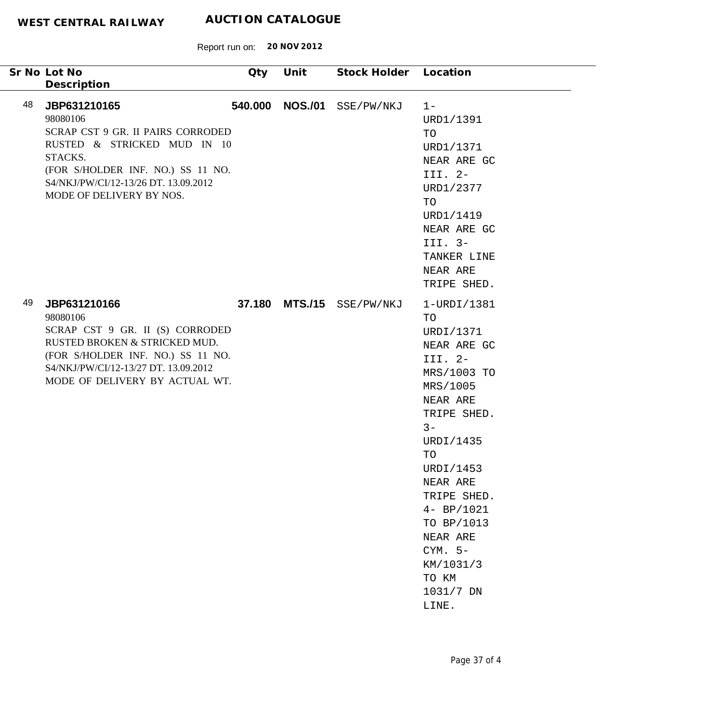| Sr No Lot No                                                                                                                                                                                                                          | Qty     | Unit           | Stock Holder Location |                                                                                                                                                                                                                                                                                        |
|---------------------------------------------------------------------------------------------------------------------------------------------------------------------------------------------------------------------------------------|---------|----------------|-----------------------|----------------------------------------------------------------------------------------------------------------------------------------------------------------------------------------------------------------------------------------------------------------------------------------|
| Description<br>48<br>JBP631210165<br>98080106<br>SCRAP CST 9 GR. II PAIRS CORRODED<br>RUSTED & STRICKED MUD IN 10<br>STACKS.<br>(FOR S/HOLDER INF. NO.) SS 11 NO.<br>S4/NKJ/PW/CI/12-13/26 DT. 13.09.2012<br>MODE OF DELIVERY BY NOS. | 540.000 | <b>NOS./01</b> | SSE/PW/NKJ            | $1 -$<br>URD1/1391<br>TO<br>URD1/1371<br>NEAR ARE GC<br>III. $2-$<br>URD1/2377<br>TO<br>URD1/1419<br>NEAR ARE GC<br>III. $3-$<br>TANKER LINE<br>NEAR ARE<br>TRIPE SHED.                                                                                                                |
| 49<br>JBP631210166<br>98080106<br>SCRAP CST 9 GR. II (S) CORRODED<br>RUSTED BROKEN & STRICKED MUD.<br>(FOR S/HOLDER INF. NO.) SS 11 NO.<br>S4/NKJ/PW/CI/12-13/27 DT. 13.09.2012<br>MODE OF DELIVERY BY ACTUAL WT.                     | 37.180  |                | MTS./15 SSE/PW/NKJ    | 1-URDI/1381<br>TO<br>URDI/1371<br>NEAR ARE GC<br>III. 2-<br>MRS/1003 TO<br>MRS/1005<br>NEAR ARE<br>TRIPE SHED.<br>$3 -$<br>URDI/1435<br>TO<br>URDI/1453<br>NEAR ARE<br>TRIPE SHED.<br>$4 - BP/1021$<br>TO BP/1013<br>NEAR ARE<br>$CYM. 5-$<br>KM/1031/3<br>TO KM<br>1031/7 DN<br>LINE. |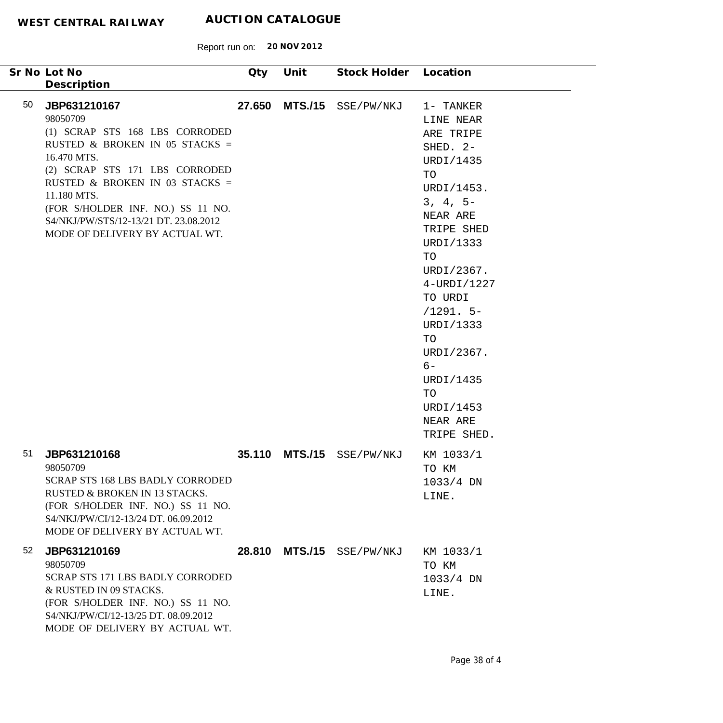|    | Sr No Lot No<br>Description                                                                                                                                                                                                                                                                                    | Qty    | Unit           | Stock Holder Location |                                                                                                                                                                                                                                                                                                       |
|----|----------------------------------------------------------------------------------------------------------------------------------------------------------------------------------------------------------------------------------------------------------------------------------------------------------------|--------|----------------|-----------------------|-------------------------------------------------------------------------------------------------------------------------------------------------------------------------------------------------------------------------------------------------------------------------------------------------------|
| 50 | JBP631210167<br>98050709<br>(1) SCRAP STS 168 LBS CORRODED<br>RUSTED & BROKEN IN 05 STACKS =<br>16.470 MTS.<br>(2) SCRAP STS 171 LBS CORRODED<br>RUSTED & BROKEN IN 03 STACKS =<br>11.180 MTS.<br>(FOR S/HOLDER INF. NO.) SS 11 NO.<br>S4/NKJ/PW/STS/12-13/21 DT. 23.08.2012<br>MODE OF DELIVERY BY ACTUAL WT. | 27.650 |                | MTS./15 SSE/PW/NKJ    | 1- TANKER<br>LINE NEAR<br>ARE TRIPE<br>SHED. 2-<br>URDI/1435<br>TO<br>URDI/1453.<br>$3, 4, 5-$<br>NEAR ARE<br>TRIPE SHED<br>URDI/1333<br>TO<br>URDI/2367.<br>4-URDI/1227<br>TO URDI<br>$/1291.5-$<br>URDI/1333<br>TO<br>URDI/2367.<br>$6-$<br>URDI/1435<br>TO<br>URDI/1453<br>NEAR ARE<br>TRIPE SHED. |
| 51 | JBP631210168<br>98050709<br><b>SCRAP STS 168 LBS BADLY CORRODED</b><br>RUSTED & BROKEN IN 13 STACKS.<br>(FOR S/HOLDER INF. NO.) SS 11 NO.<br>S4/NKJ/PW/CI/12-13/24 DT. 06.09.2012<br>MODE OF DELIVERY BY ACTUAL WT.                                                                                            | 35.110 | <b>MTS./15</b> | SSE/PW/NKJ            | KM 1033/1<br>TO KM<br>$1033/4$ DN<br>LINE.                                                                                                                                                                                                                                                            |
| 52 | JBP631210169<br>98050709<br>SCRAP STS 171 LBS BADLY CORRODED<br>& RUSTED IN 09 STACKS.<br>(FOR S/HOLDER INF. NO.) SS 11 NO.<br>S4/NKJ/PW/CI/12-13/25 DT. 08.09.2012<br>MODE OF DELIVERY BY ACTUAL WT.                                                                                                          | 28.810 | <b>MTS./15</b> | SSE/PW/NKJ            | KM 1033/1<br>TO KM<br>$1033/4$ DN<br>LINE.                                                                                                                                                                                                                                                            |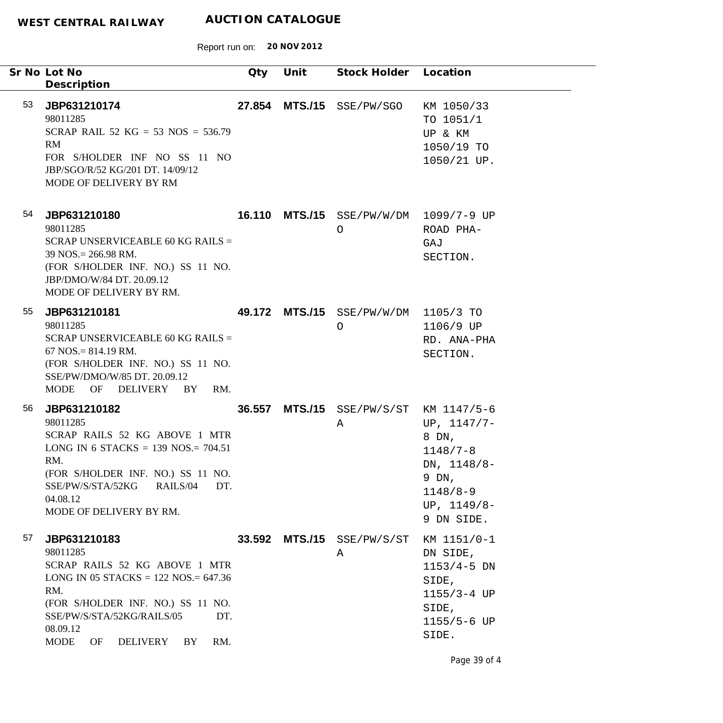Report run on: **20 NOV 2012**

|    | Sr No Lot No<br>Description                                                                                                                                                                                                                      | Qty | Unit | Stock Holder Location                       |                                                                                                                 |
|----|--------------------------------------------------------------------------------------------------------------------------------------------------------------------------------------------------------------------------------------------------|-----|------|---------------------------------------------|-----------------------------------------------------------------------------------------------------------------|
| 53 | JBP631210174<br>98011285<br>SCRAP RAIL 52 KG = 53 NOS = $536.79$<br>RM<br>FOR S/HOLDER INF NO SS 11 NO<br>JBP/SGO/R/52 KG/201 DT. 14/09/12<br>MODE OF DELIVERY BY RM                                                                             |     |      | 27.854 MTS./15 SSE/PW/SGO                   | KM 1050/33<br>TO 1051/1<br>UP & KM<br>1050/19 TO<br>1050/21 UP.                                                 |
| 54 | JBP631210180<br>98011285<br>SCRAP UNSERVICEABLE 60 KG RAILS =<br>$39$ NOS. = 266.98 RM.<br>(FOR S/HOLDER INF. NO.) SS 11 NO.<br>JBP/DMO/W/84 DT. 20.09.12<br>MODE OF DELIVERY BY RM.                                                             |     |      | 16.110 MTS./15 SSE/PW/W/DM 1099/7-9 UP<br>O | ROAD PHA-<br>GAJ<br>SECTION.                                                                                    |
| 55 | JBP631210181<br>98011285<br>SCRAP UNSERVICEABLE 60 KG RAILS =<br>$67$ NOS. = 814.19 RM.<br>(FOR S/HOLDER INF. NO.) SS 11 NO.<br>SSE/PW/DMO/W/85 DT. 20.09.12<br>MODE OF DELIVERY BY<br>RM.                                                       |     |      | 49.172 MTS./15 SSE/PW/W/DM 1105/3 TO<br>O   | 1106/9 UP<br>RD. ANA-PHA<br>SECTION.                                                                            |
| 56 | JBP631210182<br>98011285<br>SCRAP RAILS 52 KG ABOVE 1 MTR<br>LONG IN 6 STACKS = 139 NOS. = $704.51$<br>RM.<br>(FOR S/HOLDER INF. NO.) SS 11 NO.<br>SSE/PW/S/STA/52KG<br>RAILS/04<br>DT.<br>04.08.12<br>MODE OF DELIVERY BY RM.                   |     |      | 36.557 MTS./15 SSE/PW/S/ST KM 1147/5-6<br>Α | UP, $1147/7-$<br>8 DN,<br>$1148/7 - 8$<br>DN, $1148/8-$<br>9 DN,<br>$1148/8 - 9$<br>UP, $1149/8-$<br>9 DN SIDE. |
| 57 | JBP631210183<br>98011285<br>SCRAP RAILS 52 KG ABOVE 1 MTR<br>LONG IN 05 STACKS = $122$ NOS = $647.36$<br>RM.<br>(FOR S/HOLDER INF. NO.) SS 11 NO.<br>SSE/PW/S/STA/52KG/RAILS/05<br>DT.<br>08.09.12<br><b>MODE</b><br>OF<br>DELIVERY<br>BY<br>RM. |     |      | 33.592 MTS./15 SSE/PW/S/ST<br>A             | KM 1151/0-1<br>DN SIDE,<br>$1153/4-5$ DN<br>SIDE,<br>$1155/3 - 4 UP$<br>SIDE,<br>1155/5-6 UP<br>SIDE.           |

Page 39 of 4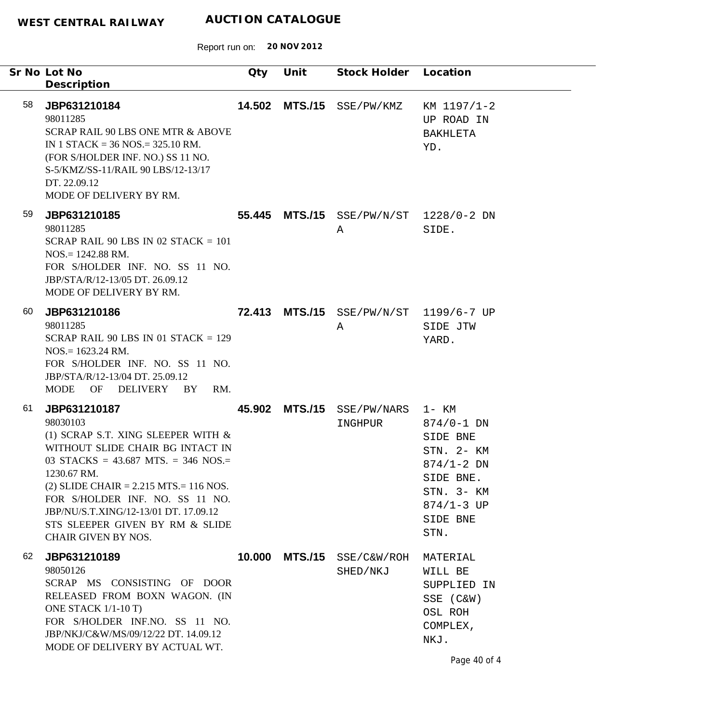|    | Sr No Lot No<br>Description                                                                                                                                                                                                                                                                                                                             | Qty    | Unit           | Stock Holder Location                       |                                                                                                                             |
|----|---------------------------------------------------------------------------------------------------------------------------------------------------------------------------------------------------------------------------------------------------------------------------------------------------------------------------------------------------------|--------|----------------|---------------------------------------------|-----------------------------------------------------------------------------------------------------------------------------|
| 58 | JBP631210184<br>98011285<br>SCRAP RAIL 90 LBS ONE MTR & ABOVE<br>IN 1 STACK = $36$ NOS = $325.10$ RM.<br>(FOR S/HOLDER INF. NO.) SS 11 NO.<br>S-5/KMZ/SS-11/RAIL 90 LBS/12-13/17<br>DT. 22.09.12<br>MODE OF DELIVERY BY RM.                                                                                                                             | 14.502 |                | MTS./15 SSE/PW/KMZ                          | KM 1197/1-2<br>UP ROAD IN<br>BAKHLETA<br>YD.                                                                                |
| 59 | JBP631210185<br>98011285<br>SCRAP RAIL 90 LBS IN 02 STACK = $101$<br>$NOS = 1242.88$ RM.<br>FOR S/HOLDER INF. NO. SS 11 NO.<br>JBP/STA/R/12-13/05 DT, 26.09.12<br>MODE OF DELIVERY BY RM.                                                                                                                                                               |        |                | 55.445 MTS./15 SSE/PW/N/ST 1228/0-2 DN<br>Α | SIDE.                                                                                                                       |
| 60 | JBP631210186<br>98011285<br>SCRAP RAIL 90 LBS IN 01 STACK = $129$<br>$NOS = 1623.24$ RM.<br>FOR S/HOLDER INF. NO. SS 11 NO.<br>JBP/STA/R/12-13/04 DT. 25.09.12<br>MODE OF DELIVERY BY<br>RM.                                                                                                                                                            |        |                | 72.413 MTS./15 SSE/PW/N/ST 1199/6-7 UP<br>Α | SIDE JTW<br>YARD.                                                                                                           |
| 61 | JBP631210187<br>98030103<br>(1) SCRAP S.T. XING SLEEPER WITH $\&$<br>WITHOUT SLIDE CHAIR BG INTACT IN<br>03 STACKS = $43.687$ MTS. = 346 NOS.=<br>1230.67 RM.<br>$(2)$ SLIDE CHAIR = 2.215 MTS. = 116 NOS.<br>FOR S/HOLDER INF. NO. SS 11 NO.<br>JBP/NU/S.T.XING/12-13/01 DT. 17.09.12<br>STS SLEEPER GIVEN BY RM & SLIDE<br><b>CHAIR GIVEN BY NOS.</b> |        |                | 45.902 MTS./15 SSE/PW/NARS 1- KM<br>INGHPUR | $874/0 - 1$ DN<br>SIDE BNE<br>STN. 2- KM<br>$874/1 - 2$ DN<br>SIDE BNE.<br>STN. 3- KM<br>$874/1 - 3$ UP<br>SIDE BNE<br>STN. |
| 62 | JBP631210189<br>98050126<br>SCRAP MS CONSISTING OF DOOR<br>RELEASED FROM BOXN WAGON. (IN<br>ONE STACK 1/1-10 T)<br>FOR S/HOLDER INF.NO. SS 11 NO.<br>JBP/NKJ/C&W/MS/09/12/22 DT. 14.09.12<br>MODE OF DELIVERY BY ACTUAL WT.                                                                                                                             | 10.000 | <b>MTS./15</b> | SSE/C&W/ROH<br>SHED/NKJ                     | MATERIAL<br>WILL BE<br>SUPPLIED IN<br>SSE (C&W)<br>OSL ROH<br>COMPLEX,<br>NKJ.<br>Page 40 of 4                              |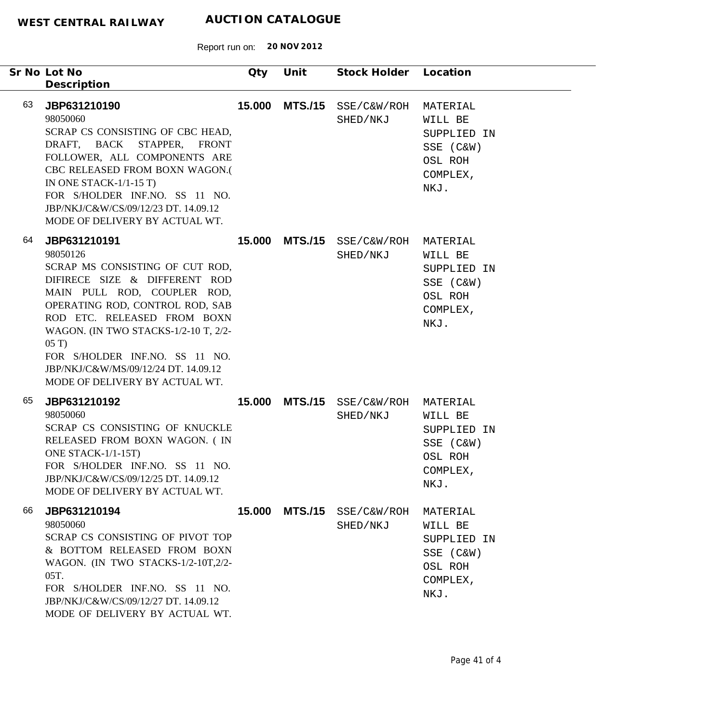|    | Sr No Lot No<br>Description                                                                                                                                                                                                                                                                                                                              | Qty    | Unit           | Stock Holder Location            |                                                                                |
|----|----------------------------------------------------------------------------------------------------------------------------------------------------------------------------------------------------------------------------------------------------------------------------------------------------------------------------------------------------------|--------|----------------|----------------------------------|--------------------------------------------------------------------------------|
| 63 | JBP631210190<br>98050060<br>SCRAP CS CONSISTING OF CBC HEAD,<br>DRAFT, BACK STAPPER, FRONT<br>FOLLOWER, ALL COMPONENTS ARE<br>CBC RELEASED FROM BOXN WAGON.(<br>IN ONE STACK- $1/1-15$ T)<br>FOR S/HOLDER INF.NO. SS 11 NO.<br>JBP/NKJ/C&W/CS/09/12/23 DT. 14.09.12<br>MODE OF DELIVERY BY ACTUAL WT.                                                    | 15.000 | <b>MTS./15</b> | SSE/C&W/ROH<br>SHED/NKJ          | MATERIAL<br>WILL BE<br>SUPPLIED IN<br>SSE (C&W)<br>OSL ROH<br>COMPLEX,<br>NKJ. |
| 64 | JBP631210191<br>98050126<br>SCRAP MS CONSISTING OF CUT ROD,<br>DIFIRECE SIZE & DIFFERENT ROD<br>MAIN PULL ROD, COUPLER ROD,<br>OPERATING ROD, CONTROL ROD, SAB<br>ROD ETC. RELEASED FROM BOXN<br>WAGON. (IN TWO STACKS-1/2-10 T, 2/2-<br>05T<br>FOR S/HOLDER INF.NO. SS 11 NO.<br>JBP/NKJ/C&W/MS/09/12/24 DT. 14.09.12<br>MODE OF DELIVERY BY ACTUAL WT. |        | 15.000 MTS./15 | SSE/C&W/ROH<br>SHED/NKJ          | MATERIAL<br>WILL BE<br>SUPPLIED IN<br>SSE (C&W)<br>OSL ROH<br>COMPLEX,<br>NKJ. |
| 65 | JBP631210192<br>98050060<br>SCRAP CS CONSISTING OF KNUCKLE<br>RELEASED FROM BOXN WAGON. (IN<br>ONE STACK-1/1-15T)<br>FOR S/HOLDER INF.NO. SS 11 NO.<br>JBP/NKJ/C&W/CS/09/12/25 DT. 14.09.12<br>MODE OF DELIVERY BY ACTUAL WT.                                                                                                                            | 15.000 | <b>MTS./15</b> | SSE/C&W/ROH MATERIAL<br>SHED/NKJ | WILL BE<br>SUPPLIED IN<br>SSE (C&W)<br>OSL ROH<br>COMPLEX,<br>NKJ.             |
| 66 | JBP631210194<br>98050060<br>SCRAP CS CONSISTING OF PIVOT TOP<br>& BOTTOM RELEASED FROM BOXN<br>WAGON. (IN TWO STACKS-1/2-10T,2/2-<br>05T.<br>FOR S/HOLDER INF.NO. SS 11 NO.<br>JBP/NKJ/C&W/CS/09/12/27 DT. 14.09.12<br>MODE OF DELIVERY BY ACTUAL WT.                                                                                                    | 15.000 | <b>MTS./15</b> | SSE/C&W/ROH<br>SHED/NKJ          | MATERIAL<br>WILL BE<br>SUPPLIED IN<br>SSE (C&W)<br>OSL ROH<br>COMPLEX,<br>NKJ. |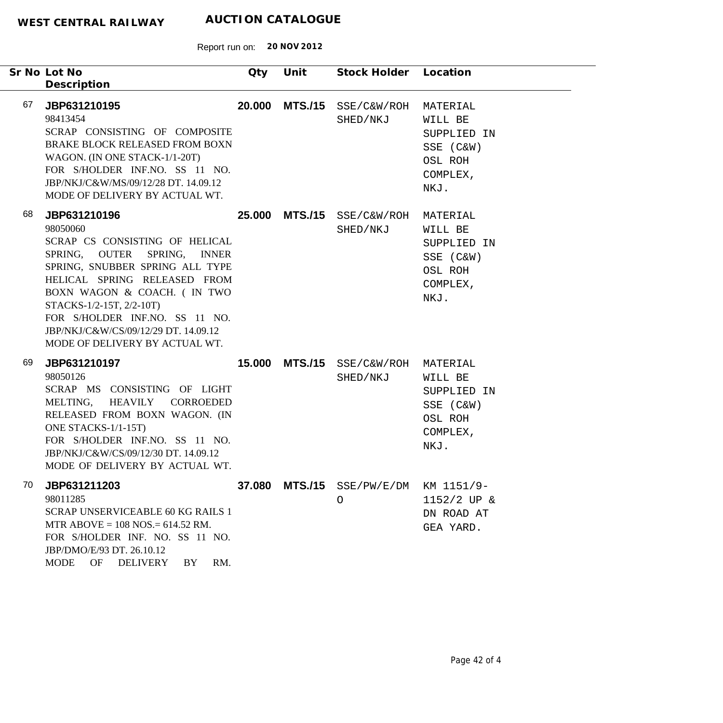|    | Sr No Lot No<br>Description                                                                                                                                                                                                                                                                                                          | Qty | Unit | Stock Holder Location                           |                                                                                |
|----|--------------------------------------------------------------------------------------------------------------------------------------------------------------------------------------------------------------------------------------------------------------------------------------------------------------------------------------|-----|------|-------------------------------------------------|--------------------------------------------------------------------------------|
| 67 | JBP631210195<br>98413454<br>SCRAP CONSISTING OF COMPOSITE<br>BRAKE BLOCK RELEASED FROM BOXN<br>WAGON. (IN ONE STACK-1/1-20T)<br>FOR S/HOLDER INF.NO. SS 11 NO.<br>JBP/NKJ/C&W/MS/09/12/28 DT. 14.09.12<br>MODE OF DELIVERY BY ACTUAL WT.                                                                                             |     |      | 20.000 MTS./15 SSE/C&W/ROH<br>SHED/NKJ          | MATERIAL<br>WILL BE<br>SUPPLIED IN<br>SSE (C&W)<br>OSL ROH<br>COMPLEX,<br>NKJ. |
| 68 | JBP631210196<br>98050060<br>SCRAP CS CONSISTING OF HELICAL<br>SPRING, OUTER SPRING, INNER<br>SPRING, SNUBBER SPRING ALL TYPE<br>HELICAL SPRING RELEASED FROM<br>BOXN WAGON & COACH. ( IN TWO<br>STACKS-1/2-15T, 2/2-10T)<br>FOR S/HOLDER INF.NO. SS 11 NO.<br>JBP/NKJ/C&W/CS/09/12/29 DT. 14.09.12<br>MODE OF DELIVERY BY ACTUAL WT. |     |      | 25.000 MTS./15 SSE/C&W/ROH<br>SHED/NKJ          | MATERIAL<br>WILL BE<br>SUPPLIED IN<br>SSE (C&W)<br>OSL ROH<br>COMPLEX,<br>NKJ. |
| 69 | JBP631210197<br>98050126<br>SCRAP MS CONSISTING OF LIGHT<br>MELTING, HEAVILY CORROEDED<br>RELEASED FROM BOXN WAGON. (IN<br>ONE STACKS-1/1-15T)<br>FOR S/HOLDER INF.NO. SS 11 NO.<br>JBP/NKJ/C&W/CS/09/12/30 DT. 14.09.12<br>MODE OF DELIVERY BY ACTUAL WT.                                                                           |     |      | 15.000 MTS./15 SSE/C&W/ROH MATERIAL<br>SHED/NKJ | WILL BE<br>SUPPLIED IN<br>SSE (C&W)<br>OSL ROH<br>COMPLEX,<br>NKJ.             |
| 70 | JBP631211203<br>98011285<br><b>SCRAP UNSERVICEABLE 60 KG RAILS 1</b><br>MTR ABOVE = $108$ NOS = $614.52$ RM.<br>FOR S/HOLDER INF. NO. SS 11 NO.<br>JBP/DMO/E/93 DT. 26.10.12<br><b>MODE</b><br>OF<br>DELIVERY<br>RM.<br>BY                                                                                                           |     |      | 37.080 MTS./15 SSE/PW/E/DM<br>O                 | KM 1151/9-<br>$1152/2$ UP &<br>DN ROAD AT<br>GEA YARD.                         |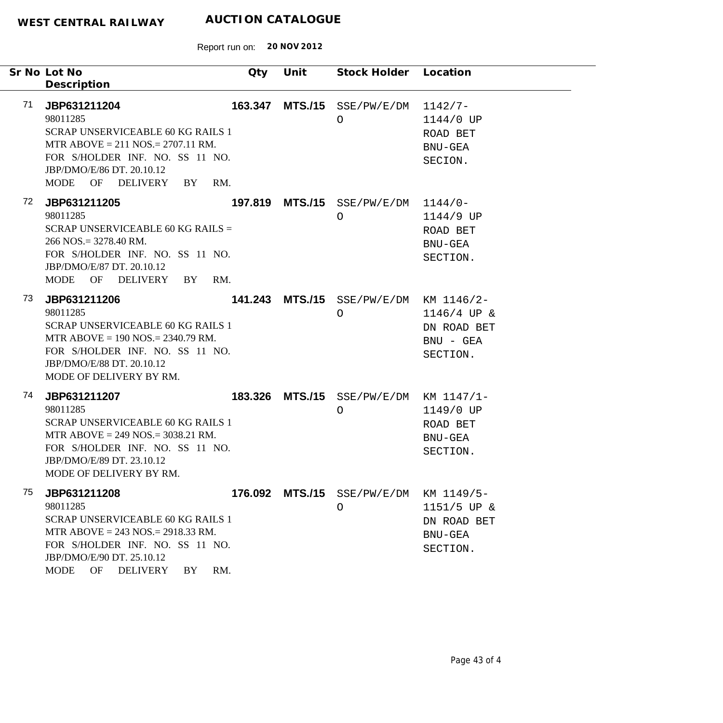| Sr No Lot No                                                                                                                                                                                                                       | Qty | Unit | Stock Holder Location                                |                                                          |
|------------------------------------------------------------------------------------------------------------------------------------------------------------------------------------------------------------------------------------|-----|------|------------------------------------------------------|----------------------------------------------------------|
| Description                                                                                                                                                                                                                        |     |      |                                                      |                                                          |
| 71<br>JBP631211204<br>98011285<br><b>SCRAP UNSERVICEABLE 60 KG RAILS 1</b><br>MTR ABOVE = $211$ NOS. = $2707.11$ RM.<br>FOR S/HOLDER INF. NO. SS 11 NO.<br>JBP/DMO/E/86 DT. 20.10.12<br>MODE OF DELIVERY BY                        | RM. |      | 163.347 MTS./15 SSE/PW/E/DM<br>O                     | $1142/7-$<br>1144/0 UP<br>ROAD BET<br>BNU-GEA<br>SECION. |
| 72<br>JBP631211205<br>98011285<br>SCRAP UNSERVICEABLE 60 KG RAILS =<br>$266$ NOS. = 3278.40 RM.<br>FOR S/HOLDER INF. NO. SS 11 NO.<br>JBP/DMO/E/87 DT. 20.10.12<br>MODE OF DELIVERY BY                                             | RM. |      | 197.819 MTS./15 SSE/PW/E/DM 1144/0-<br>$\circ$       | 1144/9 UP<br>ROAD BET<br>BNU-GEA<br>SECTION.             |
| 73<br>JBP631211206<br>98011285<br><b>SCRAP UNSERVICEABLE 60 KG RAILS 1</b><br>MTR ABOVE = $190$ NOS. = $2340.79$ RM.<br>FOR S/HOLDER INF. NO. SS 11 NO.<br>JBP/DMO/E/88 DT. 20.10.12<br>MODE OF DELIVERY BY RM.                    |     |      | 141.243 MTS./15 SSE/PW/E/DM KM 1146/2-<br>$\circ$    | $1146/4$ UP &<br>DN ROAD BET<br>$BNU - GEA$<br>SECTION.  |
| 74<br>JBP631211207<br>98011285<br><b>SCRAP UNSERVICEABLE 60 KG RAILS 1</b><br>MTR ABOVE = $249$ NOS. = $3038.21$ RM.<br>FOR S/HOLDER INF. NO. SS 11 NO.<br>JBP/DMO/E/89 DT. 23.10.12<br>MODE OF DELIVERY BY RM.                    |     |      | 183.326 MTS./15 SSE/PW/E/DM KM 1147/1-<br>$\bigcirc$ | 1149/0 UP<br>ROAD BET<br>BNU-GEA<br>SECTION.             |
| 75<br>JBP631211208<br>98011285<br><b>SCRAP UNSERVICEABLE 60 KG RAILS 1</b><br>MTR ABOVE = $243$ NOS. = $2918.33$ RM.<br>FOR S/HOLDER INF. NO. SS 11 NO.<br>JBP/DMO/E/90 DT. 25.10.12<br><b>MODE</b><br>OF<br><b>DELIVERY</b><br>BY | RM. |      | 176.092 MTS./15 SSE/PW/E/DM KM 1149/5-<br>O          | $1151/5$ UP &<br>DN ROAD BET<br>BNU-GEA<br>SECTION.      |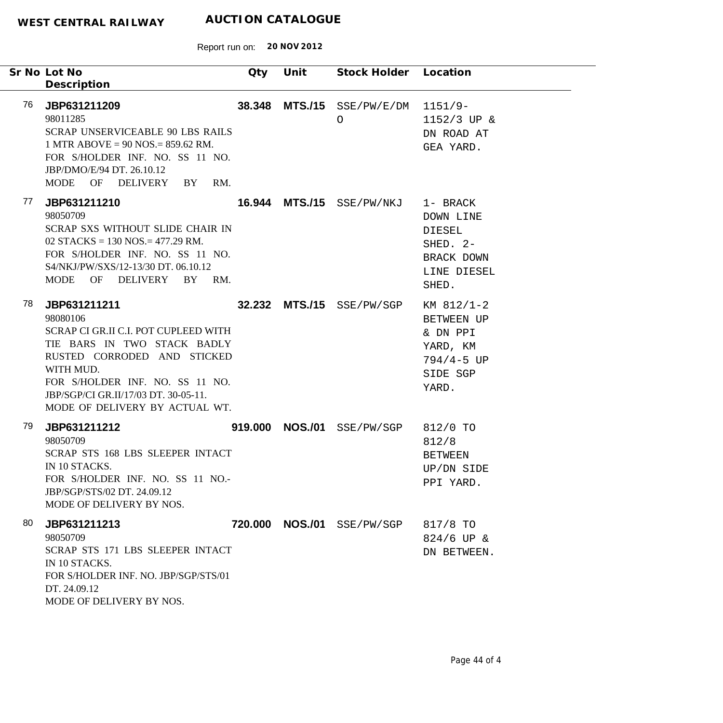|     | Sr No Lot No<br>Description                                                                                                                                                                                                                              | Qty | Unit | Stock Holder Location                 |                                                                                           |
|-----|----------------------------------------------------------------------------------------------------------------------------------------------------------------------------------------------------------------------------------------------------------|-----|------|---------------------------------------|-------------------------------------------------------------------------------------------|
| 76  | JBP631211209<br>98011285<br><b>SCRAP UNSERVICEABLE 90 LBS RAILS</b><br>1 MTR ABOVE = $90$ NOS = $859.62$ RM.<br>FOR S/HOLDER INF. NO. SS 11 NO.<br>JBP/DMO/E/94 DT. 26.10.12<br>MODE OF DELIVERY BY<br>RM.                                               |     |      | 38.348 MTS./15 SSE/PW/E/DM<br>$\circ$ | $1151/9-$<br>1152/3 UP &<br>DN ROAD AT<br>GEA YARD.                                       |
| 77  | JBP631211210<br>98050709<br>SCRAP SXS WITHOUT SLIDE CHAIR IN<br>02 STACKS = $130$ NOS. = $477.29$ RM.<br>FOR S/HOLDER INF. NO. SS 11 NO.<br>S4/NKJ/PW/SXS/12-13/30 DT. 06.10.12<br>MODE OF DELIVERY BY RM.                                               |     |      | 16.944 MTS./15 SSE/PW/NKJ             | 1- BRACK<br>DOWN LINE<br>DIESEL<br>SHED. 2-<br>BRACK DOWN<br>LINE DIESEL<br>SHED.         |
| 78. | JBP631211211<br>98080106<br>SCRAP CI GR.II C.I. POT CUPLEED WITH<br>TIE BARS IN TWO STACK BADLY<br>RUSTED CORRODED AND STICKED<br>WITH MUD.<br>FOR S/HOLDER INF. NO. SS 11 NO.<br>JBP/SGP/CI GR.II/17/03 DT. 30-05-11.<br>MODE OF DELIVERY BY ACTUAL WT. |     |      | 32.232 MTS./15 SSE/PW/SGP             | $KM$ 812/1-2<br>BETWEEN UP<br>& DN PPI<br>YARD, KM<br>$794/4 - 5 UP$<br>SIDE SGP<br>YARD. |
| 79  | JBP631211212<br>98050709<br>SCRAP STS 168 LBS SLEEPER INTACT<br>IN 10 STACKS.<br>FOR S/HOLDER INF. NO. SS 11 NO.-<br>JBP/SGP/STS/02 DT. 24.09.12<br>MODE OF DELIVERY BY NOS.                                                                             |     |      | 919.000 NOS./01 SSE/PW/SGP            | 812/0 TO<br>812/8<br><b>BETWEEN</b><br>UP/DN SIDE<br>PPI YARD.                            |
| 80  | JBP631211213<br>98050709<br>SCRAP STS 171 LBS SLEEPER INTACT<br>IN 10 STACKS.<br>FOR S/HOLDER INF. NO. JBP/SGP/STS/01<br>DT. 24.09.12<br>MODE OF DELIVERY BY NOS.                                                                                        |     |      | 720.000 NOS./01 SSE/PW/SGP            | 817/8 TO<br>$824/6$ UP &<br>DN BETWEEN.                                                   |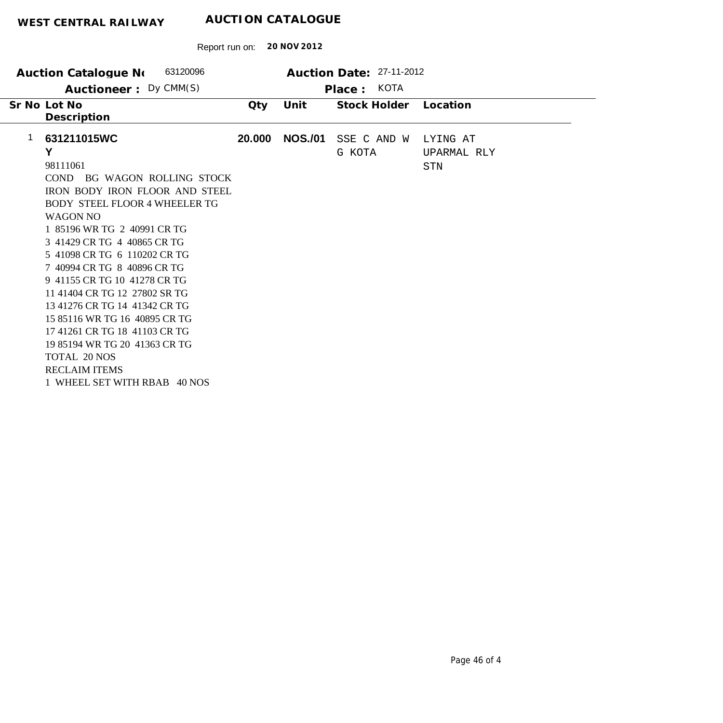| 63120096<br>Auction Catalogue No                                                                                                                                                                                                                                                                                                                                                                                                                                                                                                                                                      |        |                | Auction Date: 27-11-2012 |                                |
|---------------------------------------------------------------------------------------------------------------------------------------------------------------------------------------------------------------------------------------------------------------------------------------------------------------------------------------------------------------------------------------------------------------------------------------------------------------------------------------------------------------------------------------------------------------------------------------|--------|----------------|--------------------------|--------------------------------|
| Auctioneer: Dy CMM(S)                                                                                                                                                                                                                                                                                                                                                                                                                                                                                                                                                                 |        |                | KOTA<br>Place:           |                                |
| Sr No Lot No<br>Description                                                                                                                                                                                                                                                                                                                                                                                                                                                                                                                                                           | Qty    | Unit           | Stock Holder             | Location                       |
| 1<br>631211015WC<br>Y<br>98111061<br>COND BG WAGON ROLLING STOCK<br><b>IRON BODY IRON FLOOR AND STEEL</b><br><b>BODY STEEL FLOOR 4 WHEELER TG</b><br><b>WAGON NO</b><br>1 85196 WR TG 2 40991 CR TG<br>3 41429 CR TG 4 40865 CR TG<br>5 41098 CR TG 6 110202 CR TG<br>7 40994 CR TG 8 40896 CR TG<br>9 41155 CR TG 10 41278 CR TG<br>11 41404 CR TG 12 27802 SR TG<br>13 41276 CR TG 14 41342 CR TG<br>15 85116 WR TG 16 40895 CR TG<br>17 41261 CR TG 18 41103 CR TG<br>19 85194 WR TG 20 41363 CR TG<br><b>TOTAL 20 NOS</b><br><b>RECLAIM ITEMS</b><br>1 WHEEL SET WITH RBAB 40 NOS | 20.000 | <b>NOS./01</b> | SSE C AND W<br>G KOTA    | LYING AT<br>UPARMAL RLY<br>STN |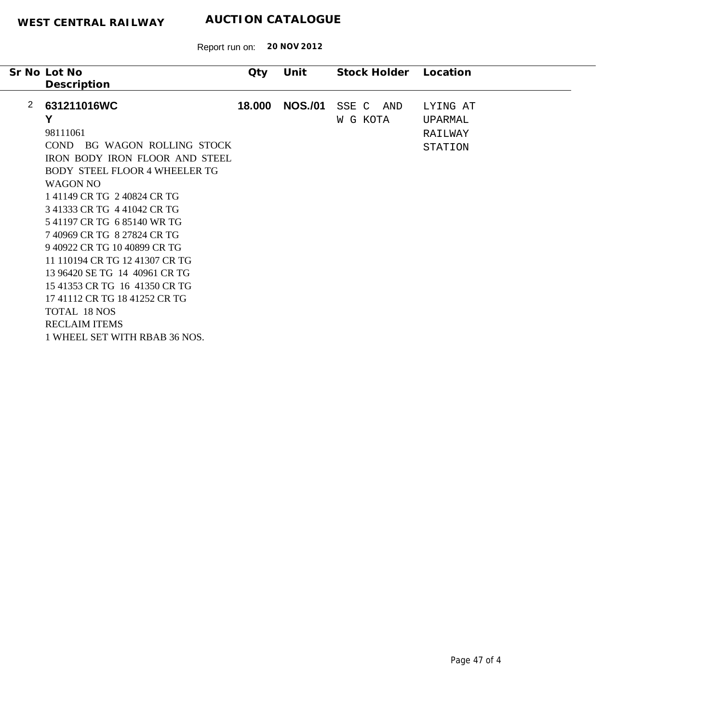| 2<br>631211016WC<br><b>NOS./01</b><br>18.000<br>SSE C<br>AND<br>LYING AT<br>Y<br>W G KOTA<br>UPARMAL<br>98111061<br>RAILWAY<br>BG WAGON ROLLING STOCK<br>COND.<br>STATION<br><b>IRON BODY IRON FLOOR AND STEEL</b><br><b>BODY STEEL FLOOR 4 WHEELER TG</b><br><b>WAGON NO</b><br>141149 CR TG 240824 CR TG<br>3 41333 CR TG 4 41042 CR TG<br>541197 CR TG 685140 WR TG<br>7 40969 CR TG 8 27824 CR TG<br>9 40922 CR TG 10 40899 CR TG<br>11 110194 CR TG 12 41307 CR TG<br>13 96420 SE TG 14 40961 CR TG<br>15 41353 CR TG 16 41350 CR TG<br>17 41112 CR TG 18 41252 CR TG<br><b>TOTAL 18 NOS</b><br><b>RECLAIM ITEMS</b> | Sr No Lot No<br>Description | Qty | Unit | Stock Holder | Location |
|---------------------------------------------------------------------------------------------------------------------------------------------------------------------------------------------------------------------------------------------------------------------------------------------------------------------------------------------------------------------------------------------------------------------------------------------------------------------------------------------------------------------------------------------------------------------------------------------------------------------------|-----------------------------|-----|------|--------------|----------|
|                                                                                                                                                                                                                                                                                                                                                                                                                                                                                                                                                                                                                           |                             |     |      |              |          |